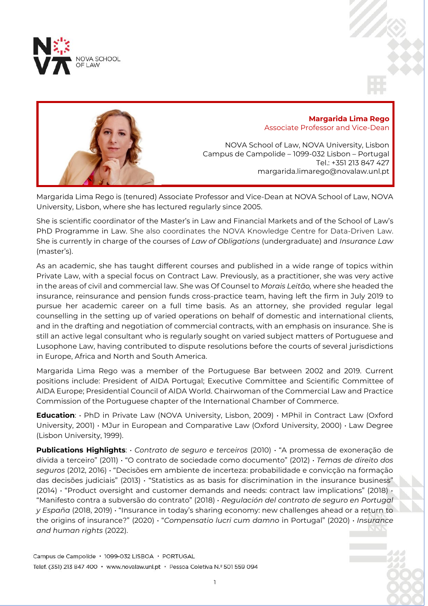



Margarida Lima Rego is (tenured) Associate Professor and Vice-Dean at NOVA School of Law, NOVA University, Lisbon, where she has lectured regularly since 2005.

She is scientific coordinator of the Master's in Law and Financial Markets and of the School of Law's PhD Programme in Law. She also coordinates the NOVA Knowledge Centre for Data-Driven Law. She is currently in charge of the courses of *Law of Obligations* (undergraduate) and *Insurance Law* (master's).

As an academic, she has taught different courses and published in a wide range of topics within Private Law, with a special focus on Contract Law. Previously, as a practitioner, she was very active in the areas of civil and commercial law. She was Of Counsel to *Morais Leitão,* where she headed the insurance, reinsurance and pension funds cross-practice team, having left the firm in July 2019 to pursue her academic career on a full time basis. As an attorney, she provided regular legal counselling in the setting up of varied operations on behalf of domestic and international clients, and in the drafting and negotiation of commercial contracts, with an emphasis on insurance. She is still an active legal consultant who is regularly sought on varied subject matters of Portuguese and Lusophone Law, having contributed to dispute resolutions before the courts of several jurisdictions in Europe, Africa and North and South America.

Margarida Lima Rego was a member of the Portuguese Bar between 2002 and 2019. Current positions include: President of AIDA Portugal; Executive Committee and Scientific Committee of AIDA Europe; Presidential Council of AIDA World. Chairwoman of the Commercial Law and Practice Commission of the Portuguese chapter of the International Chamber of Commerce.

**Education**: • PhD in Private Law (NOVA University, Lisbon, 2009) • MPhil in Contract Law (Oxford University, 2001) • MJur in European and Comparative Law (Oxford University, 2000) • Law Degree (Lisbon University, 1999).

**Publications Highlights**: • *Contrato de seguro e terceiros* (2010) • "A promessa de exoneração de dívida a terceiro" (2011) • "O contrato de sociedade como documento" (2012) • *Temas de direito dos seguros* (2012, 2016) • "Decisões em ambiente de incerteza: probabilidade e convicção na formação das decisões judiciais" (2013) • "Statistics as as basis for discrimination in the insurance business" (2014) • "Product oversight and customer demands and needs: contract law implications" (2018) • "Manifesto contra a subversão do contrato" (2018) • *Regulación del contrato de seguro en Portugal y España* (2018, 2019) • "Insurance in today's sharing economy: new challenges ahead or a return to the origins of insurance?" (2020) • "*Compensatio lucri cum damno* in Portugal" (2020) • *Insurance and human rights* (2022).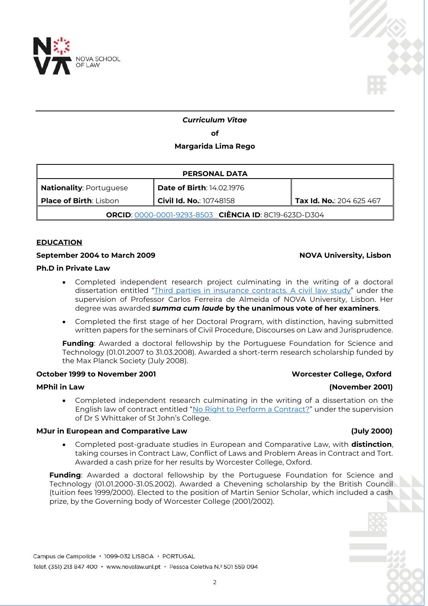



# *Curriculum Vitae*

**of**

# **Margarida Lima Rego**

| <b>PERSONAL DATA</b>                                  |                                  |                          |  |
|-------------------------------------------------------|----------------------------------|--------------------------|--|
| <b>Nationality: Portuguese</b>                        | <b>Date of Birth: 14.02.1976</b> |                          |  |
| <b>Place of Birth: Lisbon</b>                         | <b>Civil Id. No.</b> : 10748158  | Tax Id. No.: 204 625 467 |  |
| ORCID: 0000-0001-9293-8503 CIÊNCIA ID: 8C19-623D-D304 |                                  |                          |  |

### **EDUCATION**

## September 2004 to March 2009 **NOVA University, Lisbon**

# **Ph.D in Private Law**

- Completed independent research project culminating in the writing of a doctoral dissertation entitled "[Third parties in insurance contracts. A civil law study](http://hdl.handle.net/10362/8402)" under the supervision of Professor Carlos Ferreira de Almeida of NOVA University, Lisbon. Her degree was awarded *summa cum laude* **by the unanimous vote of her examiners**.
- Completed the first stage of her Doctoral Program, with distinction, having submitted written papers for the seminars of Civil Procedure, Discourses on Law and Jurisprudence.

**Funding**: Awarded a doctoral fellowship by the Portuguese Foundation for Science and Technology (01.01.2007 to 31.03.2008). Awarded a short-term research scholarship funded by the Max Planck Society (July 2008).

# **October 1999 to November 2001 Worcester College, Oxford**

# **MPhil in Law (November 2001)**

 Completed independent research culminating in the writing of a dissertation on the English law of contract entitled "[No Right to Perform a Contract?](http://dx.doi.org/10.2139/ssrn.2432694)" under the supervision of Dr S Whittaker of St John's College.

# **MJur in European and Comparative Law (July 2000)**

 Completed post-graduate studies in European and Comparative Law, with **distinction**, taking courses in Contract Law, Conflict of Laws and Problem Areas in Contract and Tort. Awarded a cash prize for her results by Worcester College, Oxford.

**Funding**: Awarded a doctoral fellowship by the Portuguese Foundation for Science and Technology (01.01.2000-31.05.2002). Awarded a Chevening scholarship by the British Council (tuition fees 1999/2000). Elected to the position of Martin Senior Scholar, which included a cash prize, by the Governing body of Worcester College (2001/2002).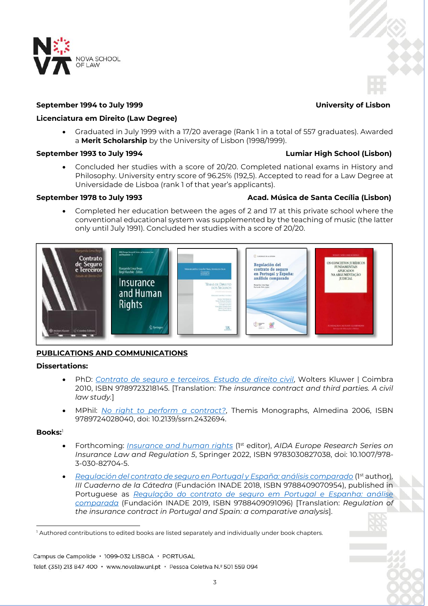

# **September 1994 to July 1999 University of Lisbon**

# **Licenciatura em Direito (Law Degree)**

 Graduated in July 1999 with a 17/20 average (Rank 1 in a total of 557 graduates). Awarded a **Merit Scholarship** by the University of Lisbon (1998/1999).

# **September 1993 to July 1994 Lumiar High School (Lisbon)**

 Concluded her studies with a score of 20/20. Completed national exams in History and Philosophy. University entry score of 96.25% (192,5). Accepted to read for a Law Degree at Universidade de Lisboa (rank 1 of that year's applicants).

# **September 1978 to July 1993 Acad. Música de Santa Cecília (Lisbon)**

 Completed her education between the ages of 2 and 17 at this private school where the conventional educational system was supplemented by the teaching of music (the latter only until July 1991). Concluded her studies with a score of 20/20.



# **PUBLICATIONS AND COMMUNICATIONS**

# **Dissertations:**

- PhD: *[Contrato de seguro e terceiros. Estudo de direito civil](http://hdl.handle.net/10362/8402)*, Wolters Kluwer | Coimbra 2010, ISBN 9789723218145. [Translation: *The insurance contract and third parties. A civil law study.*]
- MPhil: *[No right to perform a contract?](http://dx.doi.org/10.2139/ssrn.2432694)*, Themis Monographs, Almedina 2006, ISBN 9789724028040, doi: [10.2139/ssrn.2432694.](http://dx.doi.org/10.2139/ssrn.2432694)

# **Books:**<sup>1</sup>

- Forthcoming: *[Insurance and human rights](https://www.springer.com/gp/book/9783030827038)* (1st editor), *AIDA Europe Research Series on Insurance Law and Regulation 5*, Springer 2022, ISBN 9783030827038, doi: 10.1007/978- 3-030-82704-5.
- *[Regulación del contrato de seguro en Portugal y España: análisis comparado](https://catedrafundacioninade.org/sites/catedrafi/files/el_contrato_de_seguro-.pdf)* (1 st author)*, III Cuaderno de la Cátedra* (Fundación INADE 2018, ISBN 9788409070954), published in Portuguese as *[Regulação do contrato de seguro em Portugal e Espanha: análise](https://fundacioninade.org/sites/inade.org/files/cc3_-_regulacao_do_contrato_de_seguro.pdf)  [comparada](https://fundacioninade.org/sites/inade.org/files/cc3_-_regulacao_do_contrato_de_seguro.pdf)* (Fundación INADE 2019, ISBN 9788409091096) [Translation: *Regulation of the insurance contract in Portugal and Spain: a comparative analysis*].

 $\overline{a}$ <sup>1</sup> Authored contributions to edited books are listed separately and individually under book chapters.

Campus de Campolide · 1099-032 LISBOA · PORTUGAL

Telef. (351) 213 847 400 · www.novalaw.unl.pt · Pessoa Coletiva N.º 501 559 094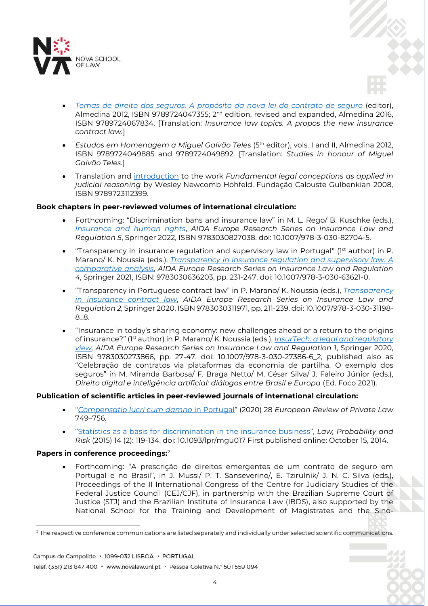

- *[Temas de direito dos seguros. A propósito da nova lei do contrato de seguro](https://www.almedina.net/temas-de-direito-dos-seguros-1563802608.html?gclid=CjwKCAjwzaSLBhBJEiwAJSRokoMGo0_RDPrG8heRNQWhEHP9IaNDtAEZuSJrX99AFKbHisz1I0UFWRoCDbQQAvD_BwE)* (editor), Almedina 2012, ISBN 9789724047355; 2<sup>nd</sup> edition, revised and expanded, Almedina 2016, ISBN 9789724067834. [Translation: *Insurance law topics. A propos the new insurance contract law.*]
- *Estudos em Homenagem a Miguel Galvão Teles* (5th editor), vols. I and II, Almedina 2012, ISBN 9789724049885 and 9789724049892. [Translation: *Studies in honour of Miguel Galvão Teles.*]
- Translation and [introduction](http://hdl.handle.net/10362/15138) to the work *Fundamental legal conceptions as applied in judicial reasoning* by Wesley Newcomb Hohfeld, Fundação Calouste Gulbenkian 2008, ISBN 9789723112399.

# **Book chapters in peer-reviewed volumes of international circulation:**

- Forthcoming: "Discrimination bans and insurance law" in M. L. Rego/ B. Kuschke (eds.), *[Insurance and human rights](https://www.springer.com/gp/book/9783030827038)*, *AIDA Europe Research Series on Insurance Law and Regulation 5*, Springer 2022, ISBN 9783030827038. doi: 10.1007/978-3-030-82704-5.
- "Transparency in insurance regulation and supervisory law in Portugal" (1st author) in P. Marano/ K. Noussia (eds.), *[Transparency in insurance regulation and supervisory law.](https://www.springer.com/gp/book/9783030636203#aboutBook) A comparative analysis*, *AIDA Europe Research Series on Insurance Law and Regulation 4*, Springer 2021, ISBN: 9783030636203, pp. 231-247. doi: 10.1007/978-3-030-63621-0.
- "Transparency in Portuguese contract law" in P. Marano/ K. Noussia (eds.), *[Transparency](https://www.springer.com/gp/book/9783030311971)  [in insurance contract law](https://www.springer.com/gp/book/9783030311971)*, *AIDA Europe Research Series on Insurance Law and Regulation 2*, Springer 2020, ISBN 9783030311971, pp. 211-239. doi: 10.1007/978-3-030-31198- 8\_8.
- "Insurance in today's sharing economy: new challenges ahead or a return to the origins of insurance?" (1st author) in P. Marano/ K. Noussia (eds.), *[InsurTech: a legal and regulatory](https://www.springer.com/gp/book/9783030273859)  [view,](https://www.springer.com/gp/book/9783030273859) AIDA Europe Research Series on Insurance Law and Regulation 1*, Springer 2020, ISBN 9783030273866, pp. 27-47. doi: 10.1007/978-3-030-27386-6\_2, published also as "Celebração de contratos via plataformas da economia de partilha. O exemplo dos seguros" in M. Miranda Barbosa/ F. Braga Netto/ M. César Silva/ J. Faleiro Júnior (eds.), *Direito digital e inteligência artificial: diálogos entre Brasil e Europa* (Ed. Foco 2021).

# **Publication of scientific articles in peer-reviewed journals of international circulation:**

- "*[Compensatio lucri cum damno](https://kluwerlawonline.com/journalarticle/European+Review+of+Private+Law/28.3/ERPL2020044)* in Portugal" (2020) 28 *European Review of Private Law* 749–756.
- "Statistics as a basis for [discrimination in the insurance business](http://lpr.oxfordjournals.org/content/14/2/119)", *Law, Probability and Risk* (2015) 14 (2): 119-134. doi: 10.1093/lpr/mgu017 First published online: October 15, 2014.

# **Papers in conference proceedings:**<sup>2</sup>

 Forthcoming: "A prescrição de direitos emergentes de um contrato de seguro em Portugal e no Brasil", in J. Mussi/ P. T. Sanseverino/, E. Tzirulnik/ J. N. C. Silva (eds.), Proceedings of the II International Congress of the Centre for Judiciary Studies of the Federal Justice Council (CEJ/CJF), in partnership with the Brazilian Supreme Court of Justice (STJ) and the Brazilian Institute of Insurance Law (IBDS), also supported by the National School for the Training and Development of Magistrates and the Sino-

Campus de Campolide · 1099-032 LISBOA · PORTUGAL

Telef. (351) 213 847 400 · www.novalaw.unl.pt · Pessoa Coletiva N.º 501 559 094

 $\overline{a}$ <sup>2</sup> The respective conference communications are listed separately and individually under selected scientific communications.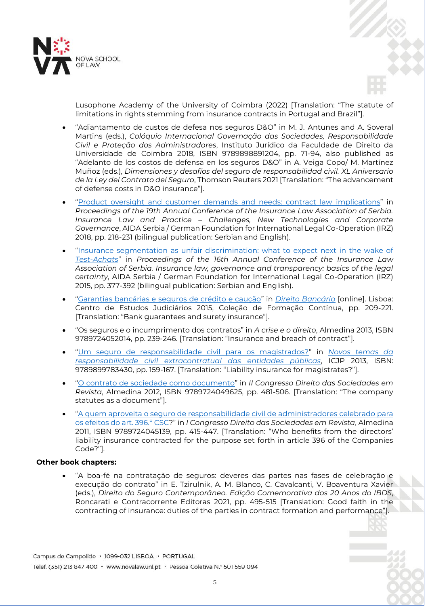



Lusophone Academy of the University of Coimbra (2022) [Translation: "The statute of limitations in rights stemming from insurance contracts in Portugal and Brazil"].

- "Adiantamento de custos de defesa nos seguros D&O" in M. J. Antunes and A. Soveral Martins (eds.), *Colóquio Internacional Governação das Sociedades, Responsabilidade Civil e Proteção dos Administradores*, Instituto Jurídico da Faculdade de Direito da Universidade de Coimbra 2018, ISBN 9789898891204, pp. 71-94, also published as "Adelanto de los costos de defensa en los seguros D&O" in A. Veiga Copo/ M. Martínez Muñoz (eds.), *Dimensiones y desafíos del seguro de responsabilidad civil. XL Aniversario de la Ley del Contrato del Seguro*, Thomson Reuters 2021 [Translation: "The advancement of defense costs in D&O insurance"].
- "[Product oversight and customer demands and needs: contract law](https://www.academia.edu/36854058/Product_oversight_and_customer_demands_and_needs_contract_law_implications?auto=download) implications" in *Proceedings of the 19th Annual Conference of the Insurance Law Association of Serbia. Insurance Law and Practice – Challenges, New Technologies and Corporate Governance*, AIDA Serbia / German Foundation for International Legal Co-Operation (IRZ) 2018, pp. 218-231 (bilingual publication: Serbian and English).
- "[Insurance segmentation as unfair discrimination: what to expect next in the wake of](http://hdl.handle.net/10362/15127)  *[Test-Achats](http://hdl.handle.net/10362/15127)*" in *Proceedings of the 16th Annual Conference of the Insurance Law Association of Serbia. Insurance law, governance and transparency: basics of the legal certainty*, AIDA Serbia / German Foundation for International Legal Co-Operation (IRZ) 2015, pp. 377-392 (bilingual publication: Serbian and English).
- "[Garantias bancárias e seguros de crédito e caução](http://hdl.handle.net/10362/15132)" in *[Direito Bancário](http://www.cej.mj.pt/cej/recursos/ebooks/civil/Direito_Bancario.pdf)* [online]. Lisboa: Centro de Estudos Judiciários 2015, Coleção de Formação Contínua, pp. 209-221. [Translation: "Bank guarantees and surety insurance"].
- "Os seguros e o incumprimento dos contratos" in *A crise e o direito*, Almedina 2013, ISBN 9789724052014, pp. 239-246. [Translation: "Insurance and breach of contract"].
- "[Um seguro de responsabilidade civil para os magistrados?](http://hdl.handle.net/10362/15126)" in *[Novos temas da](http://www.icjp.pt/sites/default/files/publicacoes/files/respcivil_ebook_completo_rev1.pdf)  [responsabilidade civil extracontratual das entidades públicas](http://www.icjp.pt/sites/default/files/publicacoes/files/respcivil_ebook_completo_rev1.pdf)*, ICJP 2013, ISBN: 9789899783430, pp. 159-167. [Translation: "Liability insurance for magistrates?"].
- "[O contrato de sociedade como documento](http://hdl.handle.net/10362/15100)" in *II Congresso Direito das Sociedades em Revista*, Almedina 2012, ISBN 9789724049625, pp. 481-506. [Translation: "The company statutes as a document"].
- "[A quem aproveita o seguro de responsabilidade civil de](http://hdl.handle.net/10362/9286) administradores celebrado para [os efeitos do art. 396.º CSC](http://hdl.handle.net/10362/9286)?" in *I Congresso Direito das Sociedades em Revista*, Almedina 2011, ISBN 9789724045139, pp. 415-447. [Translation: "Who benefits from the directors' liability insurance contracted for the purpose set forth in article 396 of the Companies Code?"].

# **Other book chapters:**

 "A boa-fé na contratação de seguros: deveres das partes nas fases de celebração e execução do contrato" in E. Tzirulnik, A. M. Blanco, C. Cavalcanti, V. Boaventura Xavier (eds.), *Direito do Seguro Contemporâneo. Edição Comemorativa dos 20 Anos do IBDS*, Roncarati e Contracorrente Editoras 2021, pp. 495-515 [Translation: Good faith in the contracting of insurance: duties of the parties in contract formation and performance"].

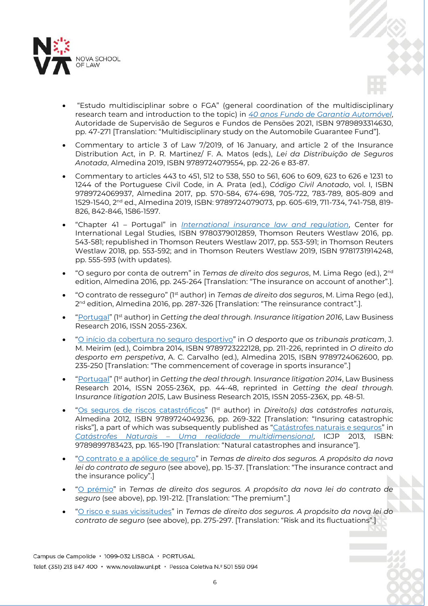

- "Estudo multidisciplinar sobre o FGA" (general coordination of the multidisciplinary research team and introduction to the topic) in *40 anos [Fundo de Garantia Automóvel](https://www.asf.com.pt/NR/rdonlyres/CCD9CE3D-E70F-4E66-85F6-3BF3B8581160/0/FGA40Anos_LC_web.pdf)*, Autoridade de Supervisão de Seguros e Fundos de Pensões 2021, ISBN 9789893314630, pp. 47-271 [Translation: "Multidisciplinary study on the Automobile Guarantee Fund"].
- Commentary to article 3 of Law 7/2019, of 16 January, and article 2 of the Insurance Distribution Act, in P. R. Martinez/ F. A. Matos (eds.), *Lei da Distribuição de Seguros Anotada*, Almedina 2019, ISBN 9789724079554, pp. 22-26 e 83-87.
- Commentary to articles 443 to 451, 512 to 538, 550 to 561, 606 to 609, 623 to 626 e 1231 to 1244 of the Portuguese Civil Code, in A. Prata (ed.), *Código Civil Anotado*, vol. I, ISBN 9789724069937, Almedina 2017, pp. 570-584, 674-698, 705-722, 783-789, 805-809 and 1529-1540, 2<sup>nd</sup> ed., Almedina 2019, ISBN: 9789724079073, pp. 605-619, 711-734, 741-758, 819-826, 842-846, 1586-1597.
- "Chapter 41 Portugal" in *[International insurance law and regulation](http://legalsolutions.thomsonreuters.com/law-products/Treatises/International-Insurance-Law--Regulation/p/104498704)*, Center for International Legal Studies, ISBN 9780379012859, Thomson Reuters Westlaw 2016, pp. 543-581; republished in Thomson Reuters Westlaw 2017, pp. 553-591; in Thomson Reuters Westlaw 2018, pp. 553-592; and in Thomson Reuters Westlaw 2019, ISBN 9781731914248, pp. 555-593 (with updates).
- "O seguro por conta de outrem" in *Temas de direito dos seguros*, M. Lima Rego (ed.), 2nd edition, Almedina 2016, pp. 245-264 [Translation: "The insurance on account of another"*.*].
- "O contrato de resseguro" (1st author) in *Temas de direito dos seguros*, M. Lima Rego (ed.), 2<sup>nd</sup> edition, Almedina 2016, pp. 287-326 [Translation: "The reinsurance contract".].
- "[Portugal](http://www.mlgts.pt/xms/files/Publicacoes/Artigos/2016/IL2016_Portugal.pdf)" (1st author) in *Getting the deal through. Insurance litigation 2016*, Law Business Research 2016, ISSN 2055-236X.
- "[O início da cobertura no seguro desportivo](http://www.mlgts.pt/xms/files/Publicacoes/Artigos/2014/O_Inicio_da_Cobertura_no_Seguro_Desportivo.pdf)" in *O desporto que os tribunais praticam*, J. M. Meirim (ed.), Coimbra 2014, ISBN 9789723222128, pp. 211-226, reprinted in *O direito do desporto em perspetiva*, A. C. Carvalho (ed.), Almedina 2015, ISBN 9789724062600, pp. 235-250 [Translation: "The commencement of coverage in sports insurance"*.*]
- "[Portugal](http://www.mlgts.pt/xms/files/Publicacoes/Artigos/2014/Insurance_Litigation_2014_Portugal.pdf)" (1st author) in *Getting the deal through.* I*nsurance litigation 2014*, Law Business Research 2014, ISSN 2055-236X, pp. 44-48, reprinted in *Getting the deal through.* I*nsurance litigation 2015*, Law Business Research 2015, ISSN 2055-236X, pp. 48-51.
- "[Os seguros de riscos catastróficos](http://hdl.handle.net/10362/15125)" (1st author) in *Direito(s) das catástrofes naturais*, Almedina 2012, ISBN 9789724049236, pp. 269-322 [Translation: "Insuring catastrophic risks"], a part of which was subsequently published as "[Catástrofes naturais e seguros](http://hdl.handle.net/10362/15130)" in *Catástrofes Naturais – [Uma realidade multidimensional](http://www.icjp.pt/sites/default/files/publicacoes/files/ebook_catastrofes_final1_isbn.pdf)*, ICJP 2013, ISBN: 9789899783423, pp. 165-190 [Translation: "Natural catastrophes and insurance"].
- "[O contrato e a apólice de seguro](http://hdl.handle.net/10362/15101)" in *Temas de direito dos seguros. A propósito da nova lei do contrato de seguro* (see above), pp. 15-37. [Translation: "The insurance contract and the insurance policy".]
- "[O prémio](http://hdl.handle.net/10362/15102)" in *Temas de direito dos seguros. A propósito da nova lei do contrato de seguro* (see above), pp. 191-212. [Translation: "The premium".]
- "[O risco e suas vicissitudes](http://hdl.handle.net/10362/15124)" in *Temas de direito dos seguros. A propósito da nova lei do contrato de seguro* (see above), pp. 275-297. [Translation: "Risk and its fluctuations".]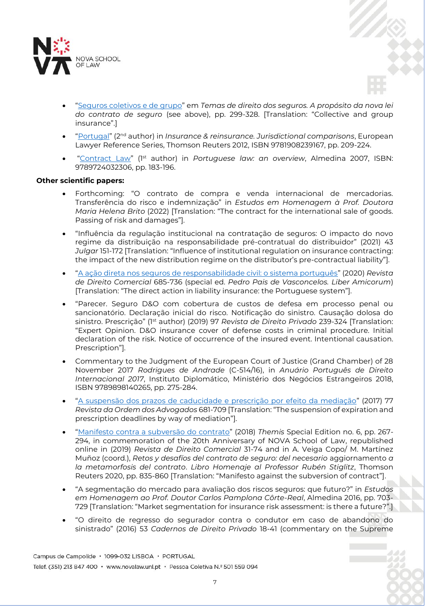

- "[Seguros coletivos e de grupo](http://hdl.handle.net/10362/15115)" em *Temas de direito dos seguros. A propósito da nova lei do contrato de seguro* (see above), pp. 299-328. [Translation: "Collective and group insurance".]
- "[Portugal](http://www.mlgts.pt/xms/files/Publicacoes/Artigos/2012/Portugal_European_Lawyer_Insurance_reinsurance.pdf)" (2nd author) in *Insurance & reinsurance. Jurisdictional comparisons*, European Lawyer Reference Series, Thomson Reuters 2012, ISBN 9781908239167, pp. 209-224.
- "[Contract Law](http://hdl.handle.net/10362/9273)" (1st author) in *Portuguese law: an overview*, Almedina 2007, ISBN: 9789724032306, pp. 183-196.

# **Other scientific papers:**

- Forthcoming: "O contrato de compra e venda internacional de mercadorias. Transferência do risco e indemnização" in *Estudos em Homenagem à Prof. Doutora Maria Helena Brito* (2022) [Translation: "The contract for the international sale of goods. Passing of risk and damages"].
- "Influência da regulação institucional na contratação de seguros: O impacto do novo regime da distribuição na responsabilidade pré-contratual do distribuidor" (2021) 43 *Julgar* 151-172 [Translation: "Influence of institutional regulation on insurance contracting: the impact of the new distribution regime on the distributor's pre-contractual liability"].
- "[A ação direta nos seguros de responsabilidade civil: o sistema português](https://www.revistadedireitocomercial.com/a-acao-direta-nos-seguros-de-responsabilidade-civil-o-sistema-portugues)" (2020) *Revista de Direito Comercial* 685-736 (special ed. *Pedro Pais de Vasconcelos. Liber Amicorum*) [Translation: "The direct action in liability insurance: the Portuguese system"].
- "Parecer. Seguro D&O com cobertura de custos de defesa em processo penal ou sancionatório. Declaração inicial do risco. Notificação do sinistro. Causação dolosa do sinistro. Prescrição" (1st author) (2019) 97 *Revista de Direito Privado* 239-324 [Translation: "Expert Opinion. D&O insurance cover of defense costs in criminal procedure. Initial declaration of the risk. Notice of occurrence of the insured event. Intentional causation. Prescription"].
- Commentary to the Judgment of the European Court of Justice (Grand Chamber) of 28 November 2017 *Rodrigues de Andrade* (C-514/16), in *Anuário Português de Direito Internacional 2017*, Instituto Diplomático, Ministério dos Negócios Estrangeiros 2018, ISBN 9789898140265, pp. 275-284.
- "[A suspensão dos prazos de caducidade e prescrição por efeito da mediação](https://portal.oa.pt/media/130424/margarida-lima-rego_roa_iii_iv_2017-6.pdf)" (2017) 77 *Revista da Ordem dos Advogados* 681-709 [Translation: "The suspension of expiration and prescription deadlines by way of mediation"].
- "[Manifesto contra a subversão do contrato](https://static1.squarespace.com/static/58596f8a29687fe710cf45cd/t/5c31f91940ec9a8d36cfe7f2/1546778908046/2019-02.pdf)" (2018) *Themis* Special Edition no. 6, pp. 267- 294, in commemoration of the 20th Anniversary of NOVA School of Law, republished online in (2019) *Revista de Direito Comercial* 31-74 and in A. Veiga Copo/ M. Martínez Muñoz (coord.), *Retos y desafíos del contrato de seguro: del necesario* aggiornamento *a la metamorfosis del contrato*. *Libro Homenaje al Professor Rubén Stiglitz*, Thomson Reuters 2020, pp. 835-860 [Translation: "Manifesto against the subversion of contract"].
- "A segmentação do mercado para avaliação dos riscos seguros: que futuro?" in *Estudos em Homenagem ao Prof. Doutor Carlos Pamplona Côrte-Real*, Almedina 2016, pp. 703- 729 [Translation: "Market segmentation for insurance risk assessment: is there a future?".]
- "O direito de regresso do segurador contra o condutor em caso de abandono do sinistrado" (2016) 53 *Cadernos de Direito Privado* 18-41 (commentary on the Supreme

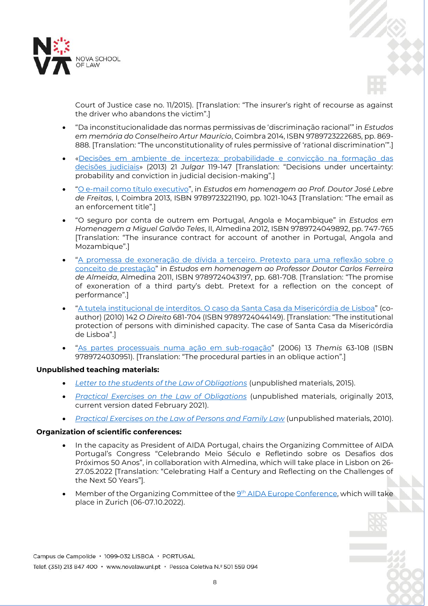



Court of Justice case no. 11/2015). [Translation: "The insurer's right of recourse as against the driver who abandons the victim".]

- "Da inconstitucionalidade das normas permissivas de 'discriminação racional'" in *Estudos em memória do Conselheiro Artur Maurício*, Coimbra 2014, ISBN 9789723222685, pp. 869- 888. [Translation: "The unconstitutionality of rules permissive of 'rational discrimination'".]
- [«Decisões em ambiente de incerteza: probabilidade e convicção na formação das](http://www.mlgts.pt/xms/files/Publicacoes/Artigos/2014/Decisoes_em_ambiente_de_incerteza_-_probabilidade_e_conviccao_na_formacao_das_decisoes_judiciais.pdf)  [decisões judiciais»](http://www.mlgts.pt/xms/files/Publicacoes/Artigos/2014/Decisoes_em_ambiente_de_incerteza_-_probabilidade_e_conviccao_na_formacao_das_decisoes_judiciais.pdf) (2013) 21 *Julgar* 119-147 [Translation: "Decisions under uncertainty: probability and conviction in judicial decision-making".]
- "[O e-mail como título executivo](http://www.mlgts.pt/xms/files/Publicacoes/Artigos/2013/O_e-mail_como_titulo_executivo_-_Margarida_Lima_Rego.pdf)", in *Estudos em homenagem ao Prof. Doutor José Lebre de Freitas*, I, Coimbra 2013, ISBN 9789723221190, pp. 1021-1043 [Translation: "The email as an enforcement title".]
- "O seguro por conta de outrem em Portugal, Angola e Moçambique" in *Estudos em Homenagem a Miguel Galvão Teles*, II, Almedina 2012, ISBN 9789724049892, pp. 747-765 [Translation: "The insurance contract for account of another in Portugal, Angola and Mozambique".]
- "[A promessa de exoneração de dívida a terceiro. Pretexto para uma reflexão sobre o](http://hdl.handle.net/10362/9271)  [conceito de prestação](http://hdl.handle.net/10362/9271)" in *Estudos em homenagem ao Professor Doutor Carlos Ferreira de Almeida*, Almedina 2011, ISBN 9789724043197, pp. 681-708. [Translation: "The promise of exoneration of a third party's debt. Pretext for a reflection on the concept of performance".]
- "[A tutela institucional de interditos. O caso da Santa Casa da Misericórdia de Lisboa](http://hdl.handle.net/10362/9266)" (coauthor) (2010) 142 *O Direito* 681-704 (ISBN 9789724044149). [Translation: "The institutional protection of persons with diminished capacity. The case of Santa Casa da Misericórdia de Lisboa".]
- "[As partes processuais numa ação em sub-rogação](http://hdl.handle.net/10362/8399)" (2006) 13 *Themis* 63-108 (ISBN 9789724030951). [Translation: "The procedural parties in an oblique action".]

# **Unpublished teaching materials:**

- *[Letter to the students of the Law of Obligations](http://www.fd.unl.pt/docentes_docs/ma/MLR_MA_26637.pdf)* (unpublished materials, 2015).
- *[Practical Exercises on the Law of Obligations](http://www.fd.unl.pt/docentes_docs/ma/mlr_MA_22076.pdf)* (unpublished materials, originally 2013, current version dated February 2021).
- *[Practical Exercises on the Law of Persons and Family Law](http://www.fd.unl.pt/docentes_docs/ma/MLR_MA_14751.pdf)* (unpublished materials, 2010).

# **Organization of scientific conferences:**

- In the capacity as President of AIDA Portugal, chairs the Organizing Committee of AIDA Portugal's Congress "Celebrando Meio Século e Refletindo sobre os Desafios dos Próximos 50 Anos", in collaboration with Almedina, which will take place in Lisbon on 26- 27.05.2022 [Translation: "Celebrating Half a Century and Reflecting on the Challenges of the Next 50 Years"].
- $\bullet$  Member of the Organizing Committee of the  $9^\text{th}$  [AIDA Europe Conference,](https://aidainsurance.org/events/new-date-9th-aida-europe-conference_2022-10-06) which will take place in Zurich (06-07.10.2022).

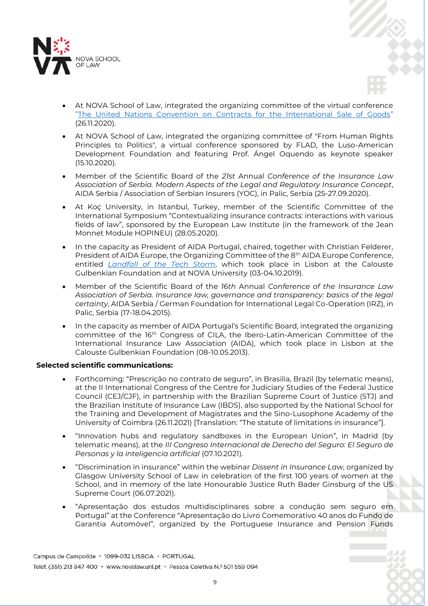

- At NOVA School of Law, integrated the organizing committee of the virtual conference "[The United Nations Convention on Contracts for the International Sale of Goods](https://vimeo.com/484411330)" (26.11.2020).
- At NOVA School of Law, integrated the organizing committee of "From Human Rights Principles to Politics", a virtual conference sponsored by FLAD, the Luso-American Development Foundation and featuring Prof. Ángel Oquendo as keynote speaker (15.10.2020).
- Member of the Scientific Board of the *21st* Annual *Conference of the Insurance Law Association of Serbia. Modern Aspects of the Legal and Regulatory Insurance Concept*, AIDA Serbia / Association of Serbian Insurers (YOC), in Palic, Serbia (25-27.09.2020).
- At Koç University, in Istanbul, Turkey, member of the Scientific Committee of the International Symposium "Contextualizing insurance contracts: interactions with various fields of law", sponsored by the European Law Institute (in the framework of the Jean Monnet Module HOPINEU) (28.05.2020).
- In the capacity as President of AIDA Portugal, chaired, together with Christian Felderer, President of AIDA Europe, the Organizing Committee of the 8<sup>th</sup> AIDA Europe Conference, entitled *[Landfall of the Tech Storm](https://aidainsurance.org/events/8th-aida-europe-conference_2019-10-03)*, which took place in Lisbon at the Calouste Gulbenkian Foundation and at NOVA University (03-04.10.2019).
- Member of the Scientific Board of the *16th* Annual *Conference of the Insurance Law Association of Serbia. Insurance law, governance and transparency: basics of the legal certainty*, AIDA Serbia / German Foundation for International Legal Co-Operation (IRZ), in Palic, Serbia (17-18.04.2015).
- In the capacity as member of AIDA Portugal's Scientific Board, integrated the organizing committee of the 16<sup>th</sup> Congress of CILA, the Ibero-Latin-American Committee of the International Insurance Law Association (AIDA), which took place in Lisbon at the Calouste Gulbenkian Foundation (08-10.05.2013).

# **Selected scientific communications:**

- Forthcoming: "Prescrição no contrato de seguro", in Brasilia, Brazil (by telematic means), at the II International Congress of the Centre for Judiciary Studies of the Federal Justice Council (CEJ/CJF), in partnership with the Brazilian Supreme Court of Justice (STJ) and the Brazilian Institute of Insurance Law (IBDS), also supported by the National School for the Training and Development of Magistrates and the Sino-Lusophone Academy of the University of Coimbra (26.11.2021) [Translation: "The statute of limitations in insurance"].
- "Innovation hubs and regulatory sandboxes in the European Union", in Madrid (by telematic means), at the *III Congreso Internacional de Derecho del Seguro: El Seguro de Personas y la inteligencia artificial* (07.10.2021).
- "Discrimination in insurance" within the webinar *Dissent in Insurance Law*, organized by Glasgow University School of Law in celebration of the first 100 years of women at the School, and in memory of the late Honourable Justice Ruth Bader Ginsburg of the US Supreme Court (06.07.2021).
- "Apresentação dos estudos multidisciplinares sobre a condução sem seguro em Portugal" at the Conference "Apresentação do Livro Comemorativo 40 anos do Fundo de Garantia Automóvel", organized by the Portuguese Insurance and Pension Funds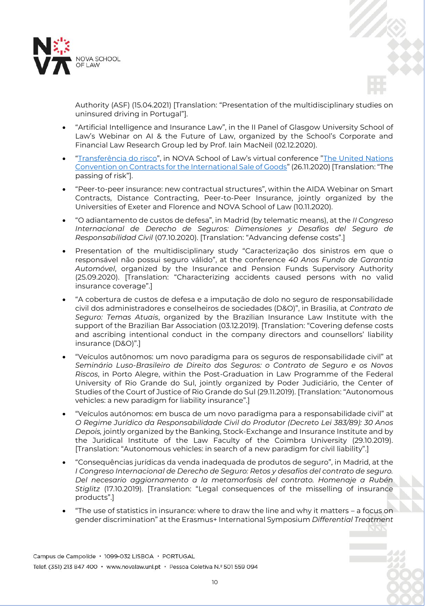



Authority (ASF) (15.04.2021) [Translation: "Presentation of the multidisciplinary studies on uninsured driving in Portugal"].

- "Artificial Intelligence and Insurance Law", in the II Panel of Glasgow University School of Law's Webinar on AI & the Future of Law, organized by the School's Corporate and Financial Law Research Group led by Prof. Iain MacNeil (02.12.2020).
- "[Transferência do risco](https://vimeo.com/484430232)", in NOVA School of Law's virtual conference "[The United Nations](https://vimeo.com/484411330)  [Convention on Contracts for the International Sale of Goods](https://vimeo.com/484411330)" (26.11.2020) [Translation: "The passing of risk"].
- "Peer-to-peer insurance: new contractual structures", within the AIDA Webinar on Smart Contracts, Distance Contracting, Peer-to-Peer Insurance, jointly organized by the Universities of Exeter and Florence and NOVA School of Law (10.11.2020).
- "O adiantamento de custos de defesa", in Madrid (by telematic means), at the *II Congreso Internacional de Derecho de Seguros: Dimensiones y Desafíos del Seguro de Responsabilidad Civil* (07.10.2020). [Translation: "Advancing defense costs".]
- Presentation of the multidisciplinary study "Caracterização dos sinistros em que o responsável não possui seguro válido", at the conference *40 Anos Fundo de Garantia Automóvel*, organized by the Insurance and Pension Funds Supervisory Authority (25.09.2020). [Translation: "Characterizing accidents caused persons with no valid insurance coverage".]
- "A cobertura de custos de defesa e a imputação de dolo no seguro de responsabilidade civil dos administradores e conselheiros de sociedades (D&O)", in Brasilia, at *Contrato de Seguro: Temas Atuais*, organized by the Brazilian Insurance Law Institute with the support of the Brazilian Bar Association (03.12.2019). [Translation: "Covering defense costs and ascribing intentional conduct in the company directors and counsellors' liability insurance (D&O)".]
- "Veículos autônomos: um novo paradigma para os seguros de responsabilidade civil" at *Seminário Luso-Brasileiro de Direito dos Seguros: o Contrato de Seguro e os Novos Riscos*, in Porto Alegre, within the Post-Graduation in Law Programme of the Federal University of Rio Grande do Sul, jointly organized by Poder Judiciário, the Center of Studies of the Court of Justice of Rio Grande do Sul (29.11.2019). [Translation: "Autonomous vehicles: a new paradigm for liability insurance".]
- "Veículos autónomos: em busca de um novo paradigma para a responsabilidade civil" at *O Regime Jurídico da Responsabilidade Civil do Produtor (Decreto Lei 383/89): 30 Anos Depois,* jointly organized by the Banking, Stock-Exchange and Insurance Institute and by the Juridical Institute of the Law Faculty of the Coimbra University (29.10.2019). [Translation: "Autonomous vehicles: in search of a new paradigm for civil liability".]
- "Consequências jurídicas da venda inadequada de produtos de seguro", in Madrid, at the *I Congreso Internacional de Derecho de Seguro: Retos y desafíos del contrato de seguro. Del necesario aggiornamento a la metamorfosis del contrato. Homenaje a Rubén Stiglitz* (17.10.2019). [Translation: "Legal consequences of the misselling of insurance products".]
- "The use of statistics in insurance: where to draw the line and why it matters a focus on gender discrimination" at the Erasmus+ International Symposium *Differential Treatment*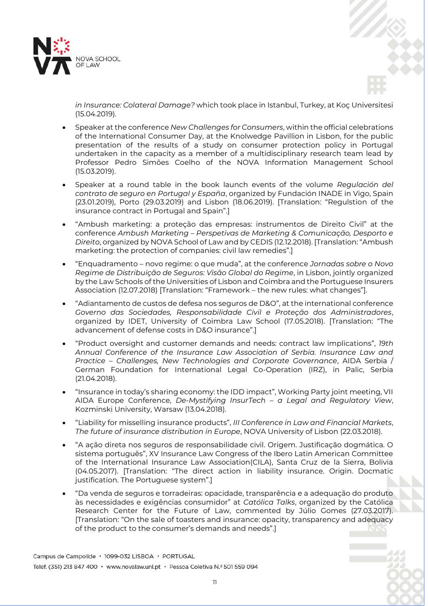



*in Insurance: Colateral Damage?* which took place in Istanbul, Turkey, at Koç Universitesi (15.04.2019).

- Speaker at the conference *New Challenges for Consumers*, within the official celebrations of the International Consumer Day, at the Knolwedge Pavillion in Lisbon, for the public presentation of the results of a study on consumer protection policy in Portugal undertaken in the capacity as a member of a multidisciplinary research team lead by Professor Pedro Simões Coelho of the NOVA Information Management School (15.03.2019).
- Speaker at a round table in the book launch events of the volume *Regulación del contrato de seguro en Portugal y España*, organized by Fundación INADE in Vigo, Spain (23.01.2019), Porto (29.03.2019) and Lisbon (18.06.2019). [Translation: "Regulstion of the insurance contract in Portugal and Spain".]
- "Ambush marketing: a proteção das empresas: instrumentos de Direito Civil" at the conference *Ambush Marketing – Perspetivas de Marketing & Comunicação, Desporto e Direito*, organized by NOVA School of Law and by CEDIS (12.12.2018). [Translation: "Ambush marketing: the protection of companies: civil law remedies".]
- "Enquadramento novo regime: o que muda", at the conference *Jornadas sobre o Novo Regime de Distribuição de Seguros: Visão Global do Regime*, in Lisbon, jointly organized by the Law Schools of the Universities of Lisbon and Coimbra and the Portuguese Insurers Association (12.07.2018) [Translation: "Framework – the new rules: what changes"].
- "Adiantamento de custos de defesa nos seguros de D&O", at the international conference *Governo das Sociedades, Responsabilidade Civil e Proteção dos Administradores*, organized by IDET, University of Coimbra Law School (17.05.2018). [Translation: "The advancement of defense costs in D&O insurance".]
- "Product oversight and customer demands and needs: contract law implications", *19th Annual Conference of the Insurance Law Association of Serbia. Insurance Law and Practice – Challenges, New Technologies and Corporate Governance*, AIDA Serbia / German Foundation for International Legal Co-Operation (IRZ), in Palic, Serbia (21.04.2018).
- "Insurance in today's sharing economy: the IDD impact", Working Party joint meeting, VII AIDA Europe Conference, *De-Mystifying InsurTech – a Legal and Regulatory View*, Kozminski University, Warsaw (13.04.2018).
- "Liability for misselling insurance products", *III Conference in Law and Financial Markets*, *The future of insurance distribution in Europe*, NOVA University of Lisbon (22.03.2018).
- "A ação direta nos seguros de responsabilidade civil. Origem. Justificação dogmática. O sistema português", XV Insurance Law Congress of the Ibero Latin American Committee of the International Insurance Law Association(CILA), Santa Cruz de la Sierra, Bolivia (04.05.2017). [Translation: "The direct action in liability insurance. Origin. Docmatic justification. The Portuguese system".]
- "Da venda de seguros e torradeiras: opacidade, transparência e a adequação do produto às necessidades e exigências consumidor" at *Católica Talks*, organized by the Católica Research Center for the Future of Law, commented by Júlio Gomes (27.03.2017). [Translation: "On the sale of toasters and insurance: opacity, transparency and adequacy of the product to the consumer's demands and needs".]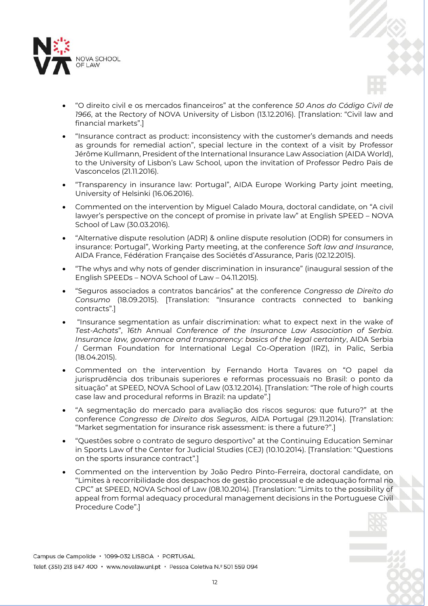

- "O direito civil e os mercados financeiros" at the conference *50 Anos do Código Civil de 1966*, at the Rectory of NOVA University of Lisbon (13.12.2016). [Translation: "Civil law and financial markets".]
- "Insurance contract as product: inconsistency with the customer's demands and needs as grounds for remedial action", special lecture in the context of a visit by Professor Jérôme Kullmann, President of the International Insurance Law Association (AIDA World), to the University of Lisbon's Law School, upon the invitation of Professor Pedro Pais de Vasconcelos (21.11.2016).
- "Transparency in insurance law: Portugal", AIDA Europe Working Party joint meeting, University of Helsinki (16.06.2016).
- Commented on the intervention by Miguel Calado Moura, doctoral candidate, on "A civil lawyer's perspective on the concept of promise in private law" at English SPEED – NOVA School of Law (30.03.2016).
- "Alternative dispute resolution (ADR) & online dispute resolution (ODR) for consumers in insurance: Portugal", Working Party meeting, at the conference *Soft law and Insurance*, AIDA France, Fédération Française des Sociétés d'Assurance, Paris (02.12.2015).
- "The whys and why nots of gender discrimination in insurance" (inaugural session of the English SPEEDs – NOVA School of Law – 04.11.2015)*.*
- "Seguros associados a contratos bancários" at the conference *Congresso de Direito do Consumo* (18.09.2015). [Translation: "Insurance contracts connected to banking contracts".]
- "Insurance segmentation as unfair discrimination: what to expect next in the wake of *Test-Achats*", *16th* Annual *Conference of the Insurance Law Association of Serbia. Insurance law, governance and transparency: basics of the legal certainty*, AIDA Serbia / German Foundation for International Legal Co-Operation (IRZ), in Palic, Serbia (18.04.2015).
- Commented on the intervention by Fernando Horta Tavares on "O papel da jurisprudência dos tribunais superiores e reformas processuais no Brasil: o ponto da situação" at SPEED, NOVA School of Law (03.12.2014). [Translation: "The role of high courts case law and procedural reforms in Brazil: na update".]
- "A segmentação do mercado para avaliação dos riscos seguros: que futuro?" at the conference *Congresso de Direito dos Seguros*, AIDA Portugal (29.11.2014). [Translation: "Market segmentation for insurance risk assessment: is there a future?".]
- "Questões sobre o contrato de seguro desportivo" at the Continuing Education Seminar in Sports Law of the Center for Judicial Studies (CEJ) (10.10.2014). [Translation: "Questions on the sports insurance contract".]
- Commented on the intervention by João Pedro Pinto-Ferreira, doctoral candidate, on "Limites à recorribilidade dos despachos de gestão processual e de adequação formal no CPC" at SPEED, NOVA School of Law (08.10.2014). [Translation: "Limits to the possibility of appeal from formal adequacy procedural management decisions in the Portuguese Civil Procedure Code".]

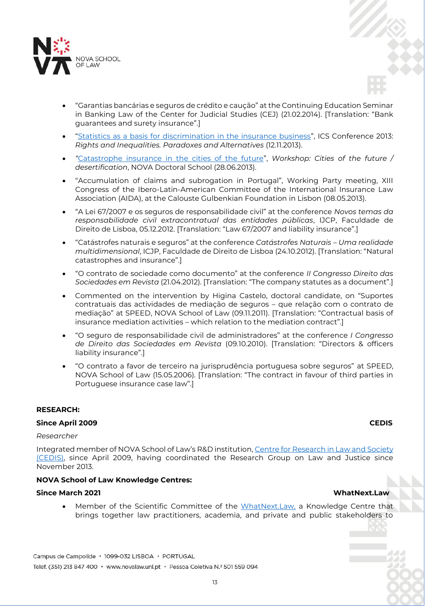

- "Garantias bancárias e seguros de crédito e caução" at the Continuing Education Seminar in Banking Law of the Center for Judicial Studies (CEJ) (21.02.2014). [Translation: "Bank guarantees and surety insurance".]
- "[Statistics as a basis for discrimination in the insurance business](http://www.youtube.com/watch?v=kFB8_T4ON_0&list=UUxg_MRVczx3vCtvx1huoZtw&index=2)", ICS Conference 2013: *Rights and Inequalities. Paradoxes and Alternatives* (12.11.2013).
- *"*[Catastrophe insurance in the cities of the future](http://prezi.com/dd_rx4ncxlio/catastrophe-insurance/)", *Workshop: Cities of the future / desertification*, NOVA Doctoral School (28.06.2013).
- "Accumulation of claims and subrogation in Portugal", Working Party meeting, XIII Congress of the Ibero-Latin-American Committee of the International Insurance Law Association (AIDA), at the Calouste Gulbenkian Foundation in Lisbon (08.05.2013).
- "A Lei 67/2007 e os seguros de responsabilidade civil" at the conference *Novos temas da responsabilidade civil extracontratual das entidades públicas*, IJCP, Faculdade de Direito de Lisboa, 05.12.2012. [Translation: "Law 67/2007 and liability insurance".]
- "Catástrofes naturais e seguros" at the conference *Catástrofes Naturais – Uma realidade multidimensional*, ICJP, Faculdade de Direito de Lisboa (24.10.2012). [Translation: "Natural catastrophes and insurance".]
- "O contrato de sociedade como documento" at the conference *II Congresso Direito das Sociedades em Revista* (21.04.2012). [Translation: "The company statutes as a document".]
- Commented on the intervention by Higina Castelo, doctoral candidate, on "Suportes contratuais das actividades de mediação de seguros – que relação com o contrato de mediação" at SPEED, NOVA School of Law (09.11.2011). [Translation: "Contractual basis of insurance mediation activities – which relation to the mediation contract".]
- "O seguro de responsabilidade civil de administradores" at the conference *I Congresso de Direito das Sociedades em Revista* (09.10.2010). [Translation: "Directors & officers liability insurance".]
- "O contrato a favor de terceiro na jurisprudência portuguesa sobre seguros" at SPEED, NOVA School of Law (15.05.2006)*.* [Translation: "The contract in favour of third parties in Portuguese insurance case law".]

# **RESEARCH:**

# **Since April 2009 CEDIS**

### *Researcher*

Integrated member of NOVA School of Law's R&D institution, [Centre for Research in Law and Society](https://novalaw.unl.pt/cedis/) (CEDIS), since April 2009, having coordinated the Research Group on Law and Justice since November 2013.

# **NOVA School of Law Knowledge Centres:**

# **Since March 2021 WhatNext.Law**

Member of the Scientific Committee of the [WhatNext.Law,](https://whatnext.law/en/) a Knowledge Centre that brings together law practitioners, academia, and private and public stakeholders to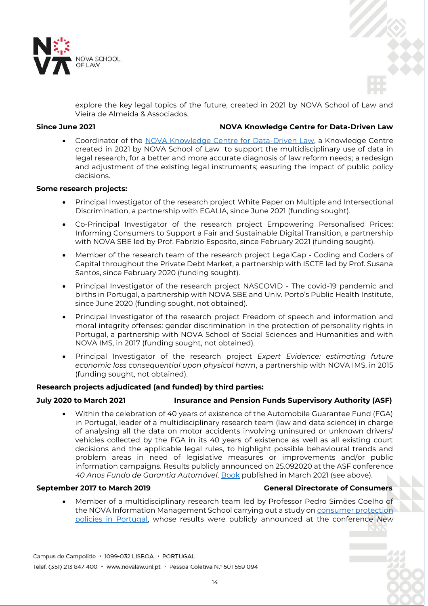



explore the key legal topics of the future, created in 2021 by NOVA School of Law and Vieira de Almeida & Associados.

# **Since June 2021 NOVA Knowledge Centre for Data-Driven Law**

 Coordinator of the [NOVA Knowledge Centre for Data-Driven Law,](https://novalaw.unl.pt/en/centros_conhecimento/nova-knowledge-centre-for-data-driven-law/) a Knowledge Centre created in 2021 by NOVA School of Law to support the multidisciplinary use of data in legal research, for a better and more accurate diagnosis of law reform needs; a redesign and adjustment of the existing legal instruments; easuring the impact of public policy decisions.

# **Some research projects:**

- Principal Investigator of the research project White Paper on Multiple and Intersectional Discrimination, a partnership with EGALIA, since June 2021 (funding sought).
- Co-Principal Investigator of the research project Empowering Personalised Prices: Informing Consumers to Support a Fair and Sustainable Digital Transition, a partnership with NOVA SBE led by Prof. Fabrizio Esposito, since February 2021 (funding sought).
- Member of the research team of the research project LegalCap Coding and Coders of Capital throughout the Private Debt Market, a partnership with ISCTE led by Prof. Susana Santos, since February 2020 (funding sought).
- Principal Investigator of the research project NASCOVID The covid-19 pandemic and births in Portugal, a partnership with NOVA SBE and Univ. Porto's Public Health Institute, since June 2020 (funding sought, not obtained).
- Principal Investigator of the research project Freedom of speech and information and moral integrity offenses: gender discrimination in the protection of personality rights in Portugal, a partnership with NOVA School of Social Sciences and Humanities and with NOVA IMS, in 2017 (funding sought, not obtained).
- Principal Investigator of the research project *Expert Evidence: estimating future economic loss consequential upon physical harm*, a partnership with NOVA IMS, in 2015 (funding sought, not obtained).

# **Research projects adjudicated (and funded) by third parties:**

# **July 2020 to March 2021 Insurance and Pension Funds Supervisory Authority (ASF)**

 Within the celebration of 40 years of existence of the Automobile Guarantee Fund (FGA) in Portugal, leader of a multidisciplinary research team (law and data science) in charge of analysing all the data on motor accidents involving uninsured or unknown drivers/ vehicles collected by the FGA in its 40 years of existence as well as all existing court decisions and the applicable legal rules, to highlight possible behavioural trends and problem areas in need of legislative measures or improvements and/or public information campaigns. Results publicly announced on 25.092020 at the ASF conference *40 Anos Fundo de Garantia Automóvel*. [Book](https://www.asf.com.pt/NR/rdonlyres/CCD9CE3D-E70F-4E66-85F6-3BF3B8581160/0/FGA40Anos_LC_web.pdf) published in March 2021 (see above).

# **September 2017 to March 2019 General Directorate of Consumers**

 Member of a multidisciplinary research team led by Professor Pedro Simões Coelho of the NOVA Information Management School carrying out a study on [consumer protection](https://www.consumidor.gov.pt/gestao-ficheiros-externos/estudo-sobre-a-politica-de-defesa-do-consumidor-em-portugal-infografia_marco2019-pdf.aspx)  [policies in Portugal,](https://www.consumidor.gov.pt/gestao-ficheiros-externos/estudo-sobre-a-politica-de-defesa-do-consumidor-em-portugal-infografia_marco2019-pdf.aspx) whose results were publicly announced at the conference *New* 

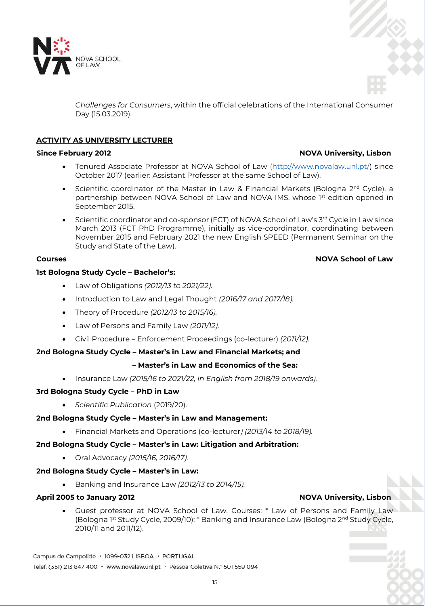

*Challenges for Consumers*, within the official celebrations of the International Consumer Day (15.03.2019).

# **ACTIVITY AS UNIVERSITY LECTURER**

- Tenured Associate Professor at NOVA School of Law [\(http://www.novalaw.unl.pt/\)](http://www.novalaw.unl.pt/) since October 2017 (earlier: Assistant Professor at the same School of Law).
- Scientific coordinator of the Master in Law & Financial Markets (Bologna  $2^{nd}$  Cycle), a partnership between NOVA School of Law and NOVA IMS, whose 1st edition opened in September 2015.
- $\bullet$  Scientific coordinator and co-sponsor (FCT) of NOVA School of Law's 3rd Cycle in Law since March 2013 (FCT PhD Programme), initially as vice-coordinator, coordinating between November 2015 and February 2021 the new English SPEED (Permanent Seminar on the Study and State of the Law).

# **Courses Accounts Accounts Accounts Accounts Accounts Accounts Accounts Accounts Accounts Accounts Accounts Accounts**

# **1st Bologna Study Cycle – Bachelor's:**

- Law of Obligations *(2012/13 to 2021/22).*
- Introduction to Law and Legal Thought *(2016/17 and 2017/18).*
- Theory of Procedure *(2012/13 to 2015/16).*
- Law of Persons and Family Law *(2011/12).*
- Civil Procedure Enforcement Proceedings (co-lecturer) *(2011/12).*

# **2nd Bologna Study Cycle – Master's in Law and Financial Markets; and**

# **– Master's in Law and Economics of the Sea:**

Insurance Law *(2015/16 to 2021/22, in English from 2018/19 onwards).*

# **3rd Bologna Study Cycle – PhD in Law**

*Scientific Publication* (2019/20).

# **2nd Bologna Study Cycle – Master's in Law and Management:**

Financial Markets and Operations (co-lecturer*) (2013/14 to 2018/19).*

# **2nd Bologna Study Cycle – Master's in Law: Litigation and Arbitration:**

Oral Advocacy *(2015/16, 2016/17).*

# **2nd Bologna Study Cycle – Master's in Law:**

Banking and Insurance Law *(2012/13 to 2014/15).*

# **April 2005 to January 2012 NOVA University, Lisbon**

 Guest professor at NOVA School of Law. Courses: \* Law of Persons and Family Law (Bologna 1st Study Cycle, 2009/10); \* Banking and Insurance Law (Bologna 2<sup>nd</sup> Study Cycle, 2010/11 and 2011/12).

# **Since February 2012 NOVA University, Lisbon**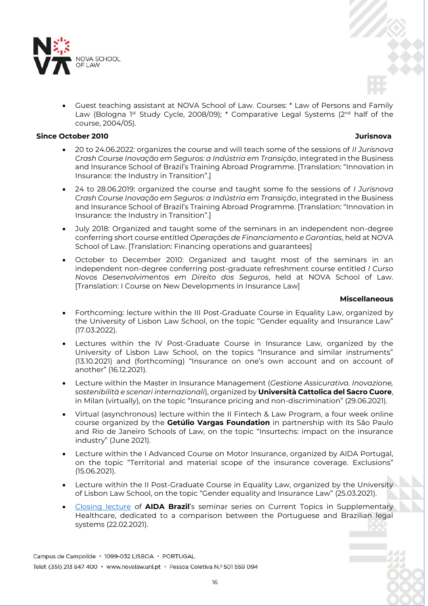

 Guest teaching assistant at NOVA School of Law. Courses: \* Law of Persons and Family Law (Bologna 1<sup>st</sup> Study Cycle, 2008/09); \* Comparative Legal Systems ( $2<sup>nd</sup>$  half of the course, 2004/05).

# **Since October 2010 Jurisnova**

- 20 to 24.06.2022: organizes the course and will teach some of the sessions of *II Jurisnova Crash Course Inovação em Seguros: a Indústria em Transição*, integrated in the Business and Insurance School of Brazil's Training Abroad Programme. [Translation: "Innovation in Insurance: the Industry in Transition".]
- 24 to 28.06.2019: organized the course and taught some fo the sessions of *I Jurisnova Crash Course Inovação em Seguros: a Indústria em Transição*, integrated in the Business and Insurance School of Brazil's Training Abroad Programme. [Translation: "Innovation in Insurance: the Industry in Transition".]
- July 2018: Organized and taught some of the seminars in an independent non-degree conferring short course entitled *Operações de Financiamento e Garantias*, held at NOVA School of Law. [Translation: Financing operations and guarantees]
- October to December 2010: Organized and taught most of the seminars in an independent non-degree conferring post-graduate refreshment course entitled *I Curso Novos Desenvolvimentos em Direito dos Seguros*, held at NOVA School of Law. [Translation: I Course on New Developments in Insurance Law]

### **Miscellaneous**

- Forthcoming: lecture within the III Post-Graduate Course in Equality Law, organized by the University of Lisbon Law School, on the topic "Gender equality and Insurance Law" (17.03.2022).
- Lectures within the IV Post-Graduate Course in Insurance Law, organized by the University of Lisbon Law School, on the topics "Insurance and similar instruments" (13.10.2021) and (forthcoming) "Insurance on one's own account and on account of another" (16.12.2021).
- Lecture within the Master in Insurance Management (*Gestione Assicurativa. Inovazione, sostenibilità e scenari internazionali*), organized by **Università Cattolica del Sacro Cuore**, in Milan (virtually), on the topic "Insurance pricing and non-discrimination" (29.06.2021).
- Virtual (asynchronous) lecture within the II Fintech & Law Program, a four week online course organized by the **Getúlio Vargas Foundation** in partnership with its São Paulo and Rio de Janeiro Schools of Law, on the topic "Insurtechs: impact on the insurance industry" (June 2021).
- Lecture within the I Advanced Course on Motor Insurance, organized by AIDA Portugal, on the topic "Territorial and material scope of the insurance coverage. Exclusions" (15.06.2021).
- Lecture within the II Post-Graduate Course in Equality Law, organized by the University of Lisbon Law School, on the topic "Gender equality and Insurance Law" (25.03.2021).
- [Closing lecture](https://www.youtube.com/watch?v=roiRxgCLf0s&t=18s) of **AIDA Brazil**'s seminar series on Current Topics in Supplementary Healthcare, dedicated to a comparison between the Portuguese and Brazilian legal systems (22.02.2021).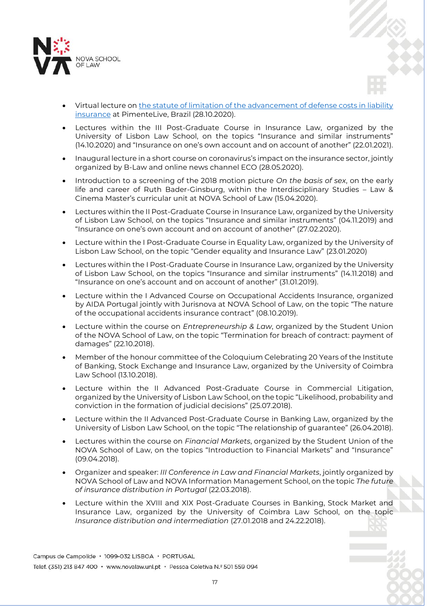

- Virtual lecture on [the statute of limitation of the advancement of defense costs in liability](https://www.youtube.com/watch?v=w6r5sNrP7dE)  [insurance](https://www.youtube.com/watch?v=w6r5sNrP7dE) at PimenteLive, Brazil (28.10.2020).
- Lectures within the III Post-Graduate Course in Insurance Law, organized by the University of Lisbon Law School, on the topics "Insurance and similar instruments" (14.10.2020) and "Insurance on one's own account and on account of another" (22.01.2021).
- Inaugural lecture in a short course on coronavirus's impact on the insurance sector, jointly organized by B-Law and online news channel ECO (28.05.2020).
- Introduction to a screening of the 2018 motion picture *On the basis of sex*, on the early life and career of Ruth Bader-Ginsburg, within the Interdisciplinary Studies – Law & Cinema Master's curricular unit at NOVA School of Law (15.04.2020).
- Lectures within the II Post-Graduate Course in Insurance Law, organized by the University of Lisbon Law School, on the topics "Insurance and similar instruments" (04.11.2019) and "Insurance on one's own account and on account of another" (27.02.2020).
- Lecture within the I Post-Graduate Course in Equality Law, organized by the University of Lisbon Law School, on the topic "Gender equality and Insurance Law" (23.01.2020)
- Lectures within the I Post-Graduate Course in Insurance Law, organized by the University of Lisbon Law School, on the topics "Insurance and similar instruments" (14.11.2018) and "Insurance on one's account and on account of another" (31.01.2019).
- Lecture within the I Advanced Course on Occupational Accidents Insurance, organized by AIDA Portugal jointly with Jurisnova at NOVA School of Law, on the topic "The nature of the occupational accidents insurance contract" (08.10.2019).
- Lecture within the course on *Entrepreneurship & Law*, organized by the Student Union of the NOVA School of Law, on the topic "Termination for breach of contract: payment of damages" (22.10.2018).
- Member of the honour committee of the Coloquium Celebrating 20 Years of the Institute of Banking, Stock Exchange and Insurance Law, organized by the University of Coimbra Law School (13.10.2018).
- Lecture within the II Advanced Post-Graduate Course in Commercial Litigation, organized by the University of Lisbon Law School, on the topic "Likelihood, probability and conviction in the formation of judicial decisions" (25.07.2018).
- Lecture within the II Advanced Post-Graduate Course in Banking Law, organized by the University of Lisbon Law School, on the topic "The relationship of guarantee" (26.04.2018).
- Lectures within the course on *Financial Markets*, organized by the Student Union of the NOVA School of Law, on the topics "Introduction to Financial Markets" and "Insurance" (09.04.2018).
- Organizer and speaker: *III Conference in Law and Financial Markets*, jointly organized by NOVA School of Law and NOVA Information Management School, on the topic *The future of insurance distribution in Portugal* (22.03.2018).
- Lecture within the XVIII and XIX Post-Graduate Courses in Banking, Stock Market and Insurance Law, organized by the University of Coimbra Law School, on the topic *Insurance distribution and intermediation* (27.01.2018 and 24.22.2018).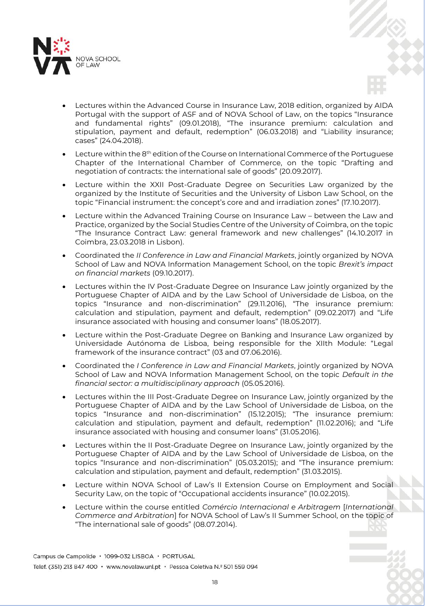



- Lecture within the 8<sup>th</sup> edition of the Course on International Commerce of the Portuguese Chapter of the International Chamber of Commerce, on the topic "Drafting and negotiation of contracts: the international sale of goods" (20.09.2017).
- Lecture within the XXII Post-Graduate Degree on Securities Law organized by the organized by the Institute of Securities and the University of Lisbon Law School, on the topic "Financial instrument: the concept's core and and irradiation zones" (17.10.2017).
- Lecture within the Advanced Training Course on Insurance Law between the Law and Practice, organized by the Social Studies Centre of the University of Coimbra, on the topic "The Insurance Contract Law: general framework and new challenges" (14.10.2017 in Coimbra, 23.03.2018 in Lisbon).
- Coordinated the *II Conference in Law and Financial Markets*, jointly organized by NOVA School of Law and NOVA Information Management School, on the topic *Brexit's impact on financial markets* (09.10.2017).
- Lectures within the IV Post-Graduate Degree on Insurance Law jointly organized by the Portuguese Chapter of AIDA and by the Law School of Universidade de Lisboa, on the topics "Insurance and non-discrimination" (29.11.2016), "The insurance premium: calculation and stipulation, payment and default, redemption" (09.02.2017) and "Life insurance associated with housing and consumer loans" (18.05.2017).
- Lecture within the Post-Graduate Degree on Banking and Insurance Law organized by Universidade Autónoma de Lisboa, being responsible for the XIIth Module: "Legal framework of the insurance contract" (03 and 07.06.2016).
- Coordinated the *I Conference in Law and Financial Markets*, jointly organized by NOVA School of Law and NOVA Information Management School, on the topic *Default in the financial sector: a multidisciplinary approach* (05.05.2016).
- Lectures within the III Post-Graduate Degree on Insurance Law, jointly organized by the Portuguese Chapter of AIDA and by the Law School of Universidade de Lisboa, on the topics "Insurance and non-discrimination" (15.12.2015); "The insurance premium: calculation and stipulation, payment and default, redemption" (11.02.2016); and "Life insurance associated with housing and consumer loans" (31.05.2016).
- Lectures within the II Post-Graduate Degree on Insurance Law, jointly organized by the Portuguese Chapter of AIDA and by the Law School of Universidade de Lisboa, on the topics "Insurance and non-discrimination" (05.03.2015); and "The insurance premium: calculation and stipulation, payment and default, redemption" (31.03.2015).
- Lecture within NOVA School of Law's II Extension Course on Employment and Social Security Law, on the topic of "Occupational accidents insurance" (10.02.2015).
- Lecture within the course entitled *Comércio Internacional e Arbitragem* [*International Commerce and Arbitration*] for NOVA School of Law's II Summer School, on the topic of "The international sale of goods" (08.07.2014).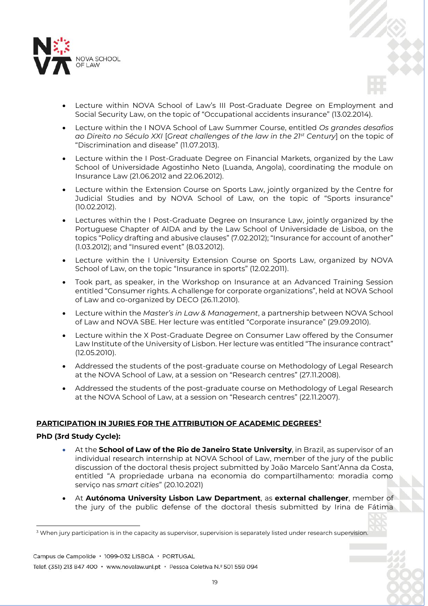

- Lecture within NOVA School of Law's III Post-Graduate Degree on Employment and Social Security Law, on the topic of "Occupational accidents insurance" (13.02.2014).
- Lecture within the I NOVA School of Law Summer Course, entitled *Os grandes desafios ao Direito no Século XXI* [*Great challenges of the law in the 21st Century*] on the topic of "Discrimination and disease" (11.07.2013).
- Lecture within the I Post-Graduate Degree on Financial Markets, organized by the Law School of Universidade Agostinho Neto (Luanda, Angola), coordinating the module on Insurance Law (21.06.2012 and 22.06.2012).
- Lecture within the Extension Course on Sports Law, jointly organized by the Centre for Judicial Studies and by NOVA School of Law, on the topic of "Sports insurance" (10.02.2012).
- Lectures within the I Post-Graduate Degree on Insurance Law, jointly organized by the Portuguese Chapter of AIDA and by the Law School of Universidade de Lisboa, on the topics "Policy drafting and abusive clauses" (7.02.2012); "Insurance for account of another" (1.03.2012); and "Insured event" (8.03.2012).
- Lecture within the I University Extension Course on Sports Law, organized by NOVA School of Law, on the topic "Insurance in sports" (12.02.2011).
- Took part, as speaker, in the Workshop on Insurance at an Advanced Training Session entitled "Consumer rights. A challenge for corporate organizations", held at NOVA School of Law and co-organized by DECO (26.11.2010).
- Lecture within the *Master's in Law & Management*, a partnership between NOVA School of Law and NOVA SBE. Her lecture was entitled "Corporate insurance" (29.09.2010).
- Lecture within the X Post-Graduate Degree on Consumer Law offered by the Consumer Law Institute of the University of Lisbon. Her lecture was entitled "The insurance contract" (12.05.2010).
- Addressed the students of the post-graduate course on Methodology of Legal Research at the NOVA School of Law, at a session on "Research centres" (27.11.2008).
- Addressed the students of the post-graduate course on Methodology of Legal Research at the NOVA School of Law, at a session on "Research centres" (22.11.2007).

# **PARTICIPATION IN JURIES FOR THE ATTRIBUTION OF ACADEMIC DEGREES<sup>3</sup>**

# **PhD (3rd Study Cycle):**

- At the **School of Law of the Rio de Janeiro State University**, in Brazil, as supervisor of an individual research internship at NOVA School of Law, member of the jury of the public discussion of the doctoral thesis project submitted by João Marcelo Sant'Anna da Costa, entitled "A propriedade urbana na economia do compartilhamento: moradia como serviço nas *smart cities*" (20.10.2021)
- At **Autónoma University Lisbon Law Department**, as **external challenger**, member of the jury of the public defense of the doctoral thesis submitted by Irina de Fátima

Campus de Campolide · 1099-032 LISBOA · PORTUGAL

Telef. (351) 213 847 400 · www.novalaw.unl.pt · Pessoa Coletiva N.º 501 559 094

 $\overline{a}$ <sup>3</sup> When jury participation is in the capacity as supervisor, supervision is separately listed under research supervision.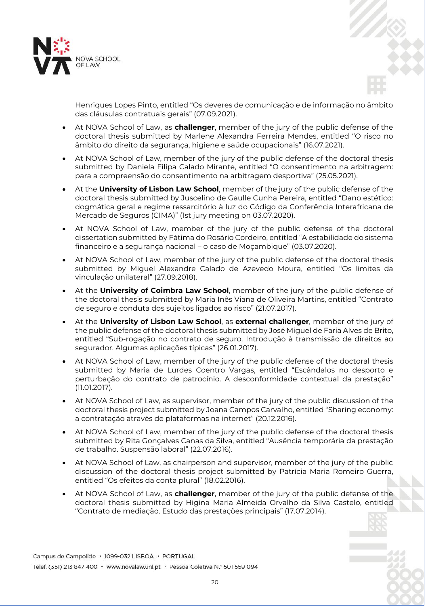



Henriques Lopes Pinto, entitled "Os deveres de comunicação e de informação no âmbito das cláusulas contratuais gerais" (07.09.2021).

- At NOVA School of Law, as **challenger**, member of the jury of the public defense of the doctoral thesis submitted by Marlene Alexandra Ferreira Mendes, entitled "O risco no âmbito do direito da segurança, higiene e saúde ocupacionais" (16.07.2021).
- At NOVA School of Law, member of the jury of the public defense of the doctoral thesis submitted by Daniela Filipa Calado Mirante, entitled "O consentimento na arbitragem: para a compreensão do consentimento na arbitragem desportiva" (25.05.2021).
- At the **University of Lisbon Law School**, member of the jury of the public defense of the doctoral thesis submitted by Juscelino de Gaulle Cunha Pereira, entitled "Dano estético: dogmática geral e regime ressarcitório à luz do Código da Conferência Interafricana de Mercado de Seguros (CIMA)" (1st jury meeting on 03.07.2020).
- At NOVA School of Law, member of the jury of the public defense of the doctoral dissertation submitted by Fátima do Rosário Cordeiro, entitled "A estabilidade do sistema financeiro e a segurança nacional – o caso de Moçambique" (03.07.2020).
- At NOVA School of Law, member of the jury of the public defense of the doctoral thesis submitted by Miguel Alexandre Calado de Azevedo Moura, entitled "Os limites da vinculação unilateral" (27.09.2018).
- At the **University of Coimbra Law School**, member of the jury of the public defense of the doctoral thesis submitted by Maria Inês Viana de Oliveira Martins, entitled "Contrato de seguro e conduta dos sujeitos ligados ao risco" (21.07.2017).
- At the **University of Lisbon Law School**, as **external challenger**, member of the jury of the public defense of the doctoral thesis submitted by José Miguel de Faria Alves de Brito, entitled "Sub-rogação no contrato de seguro. Introdução à transmissão de direitos ao segurador. Algumas aplicações típicas" (26.01.2017).
- At NOVA School of Law, member of the jury of the public defense of the doctoral thesis submitted by Maria de Lurdes Coentro Vargas, entitled "Escândalos no desporto e perturbação do contrato de patrocínio. A desconformidade contextual da prestação" (11.01.2017).
- At NOVA School of Law, as supervisor, member of the jury of the public discussion of the doctoral thesis project submitted by Joana Campos Carvalho, entitled "Sharing economy: a contratação através de plataformas na internet" (20.12.2016).
- At NOVA School of Law, member of the jury of the public defense of the doctoral thesis submitted by Rita Gonçalves Canas da Silva, entitled "Ausência temporária da prestação de trabalho. Suspensão laboral" (22.07.2016).
- At NOVA School of Law, as chairperson and supervisor, member of the jury of the public discussion of the doctoral thesis project submitted by Patrícia Maria Romeiro Guerra, entitled "Os efeitos da conta plural" (18.02.2016).
- At NOVA School of Law, as **challenger**, member of the jury of the public defense of the doctoral thesis submitted by Higina Maria Almeida Orvalho da Silva Castelo, entitled "Contrato de mediação. Estudo das prestações principais" (17.07.2014).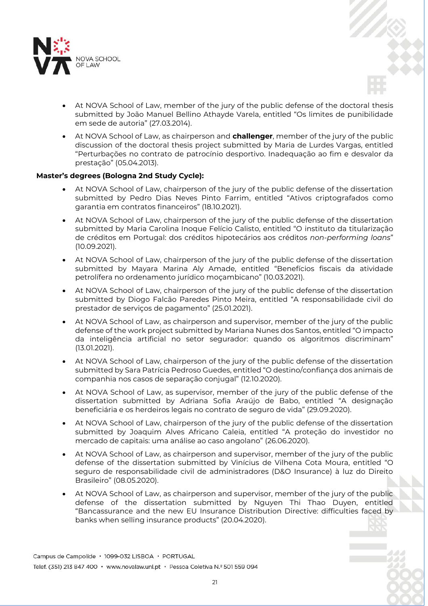

- At NOVA School of Law, member of the jury of the public defense of the doctoral thesis submitted by João Manuel Bellino Athayde Varela, entitled "Os limites de punibilidade em sede de autoria" (27.03.2014).
- At NOVA School of Law, as chairperson and **challenger**, member of the jury of the public discussion of the doctoral thesis project submitted by Maria de Lurdes Vargas, entitled "Perturbações no contrato de patrocínio desportivo. Inadequação ao fim e desvalor da prestação" (05.04.2013).

# **Master's degrees (Bologna 2nd Study Cycle):**

- At NOVA School of Law, chairperson of the jury of the public defense of the dissertation submitted by Pedro Dias Neves Pinto Farrim, entitled "Ativos criptografados como garantia em contratos financeiros" (18.10.2021).
- At NOVA School of Law, chairperson of the jury of the public defense of the dissertation submitted by Maria Carolina Inoque Felício Calisto, entitled "O instituto da titularização de créditos em Portugal: dos créditos hipotecários aos créditos *non-performing loans*" (10.09.2021).
- At NOVA School of Law, chairperson of the jury of the public defense of the dissertation submitted by Mayara Marina Aly Amade, entitled "Benefícios fiscais da atividade petrolífera no ordenamento jurídico moçambicano" (10.03.2021).
- At NOVA School of Law, chairperson of the jury of the public defense of the dissertation submitted by Diogo Falcão Paredes Pinto Meira, entitled "A responsabilidade civil do prestador de serviços de pagamento" (25.01.2021).
- At NOVA School of Law, as chairperson and supervisor, member of the jury of the public defense of the work project submitted by Mariana Nunes dos Santos, entitled "O impacto da inteligência artificial no setor segurador: quando os algoritmos discriminam" (13.01.2021).
- At NOVA School of Law, chairperson of the jury of the public defense of the dissertation submitted by Sara Patrícia Pedroso Guedes, entitled "O destino/confiança dos animais de companhia nos casos de separação conjugal" (12.10.2020).
- At NOVA School of Law, as supervisor, member of the jury of the public defense of the dissertation submitted by Adriana Sofia Araújo de Babo, entitled "A designação beneficiária e os herdeiros legais no contrato de seguro de vida" (29.09.2020).
- At NOVA School of Law, chairperson of the jury of the public defense of the dissertation submitted by Joaquim Alves Africano Caleia, entitled "A proteção do investidor no mercado de capitais: uma análise ao caso angolano" (26.06.2020).
- At NOVA School of Law, as chairperson and supervisor, member of the jury of the public defense of the dissertation submitted by Vinícius de Vilhena Cota Moura, entitled "O seguro de responsabilidade civil de administradores (D&O Insurance) à luz do Direito Brasileiro" (08.05.2020).
- At NOVA School of Law, as chairperson and supervisor, member of the jury of the public defense of the dissertation submitted by Nguyen Thi Thao Duyen, entitled "Bancassurance and the new EU Insurance Distribution Directive: difficulties faced by banks when selling insurance products" (20.04.2020).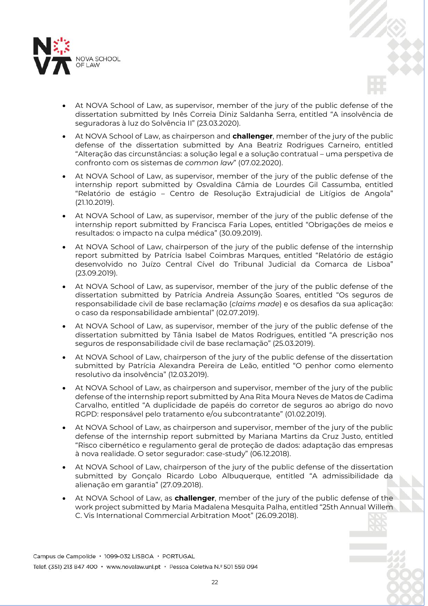

- At NOVA School of Law, as supervisor, member of the jury of the public defense of the dissertation submitted by Inês Correia Diniz Saldanha Serra, entitled "A insolvência de seguradoras à luz do Solvência II" (23.03.2020).
- At NOVA School of Law, as chairperson and **challenger**, member of the jury of the public defense of the dissertation submitted by Ana Beatriz Rodrigues Carneiro, entitled "Alteração das circunstâncias: a solução legal e a solução contratual – uma perspetiva de confronto com os sistemas de *common law*" (07.02.2020).
- At NOVA School of Law, as supervisor, member of the jury of the public defense of the internship report submitted by Osvaldina Câmia de Lourdes Gil Cassumba, entitled "Relatório de estágio – Centro de Resolução Extrajudicial de Litígios de Angola" (21.10.2019).
- At NOVA School of Law, as supervisor, member of the jury of the public defense of the internship report submitted by Francisca Faria Lopes, entitled "Obrigações de meios e resultados: o impacto na culpa médica" (30.09.2019).
- At NOVA School of Law, chairperson of the jury of the public defense of the internship report submitted by Patrícia Isabel Coimbras Marques, entitled "Relatório de estágio desenvolvido no Juízo Central Cível do Tribunal Judicial da Comarca de Lisboa" (23.09.2019).
- At NOVA School of Law, as supervisor, member of the jury of the public defense of the dissertation submitted by Patrícia Andreia Assunção Soares, entitled "Os seguros de responsabilidade civil de base reclamação (*claims made*) e os desafios da sua aplicação: o caso da responsabilidade ambiental" (02.07.2019).
- At NOVA School of Law, as supervisor, member of the jury of the public defense of the dissertation submitted by Tânia Isabel de Matos Rodrigues, entitled "A prescrição nos seguros de responsabilidade civil de base reclamação" (25.03.2019).
- At NOVA School of Law, chairperson of the jury of the public defense of the dissertation submitted by Patrícia Alexandra Pereira de Leão, entitled "O penhor como elemento resolutivo da insolvência" (12.03.2019).
- At NOVA School of Law, as chairperson and supervisor, member of the jury of the public defense of the internship report submitted by Ana Rita Moura Neves de Matos de Cadima Carvalho, entitled "A duplicidade de papéis do corretor de seguros ao abrigo do novo RGPD: responsável pelo tratamento e/ou subcontratante" (01.02.2019).
- At NOVA School of Law, as chairperson and supervisor, member of the jury of the public defense of the internship report submitted by Mariana Martins da Cruz Justo, entitled "Risco cibernético e regulamento geral de proteção de dados: adaptação das empresas à nova realidade. O setor segurador: case-study" (06.12.2018).
- At NOVA School of Law, chairperson of the jury of the public defense of the dissertation submitted by Gonçalo Ricardo Lobo Albuquerque, entitled "A admissibilidade da alienação em garantia" (27.09.2018).
- At NOVA School of Law, as **challenger**, member of the jury of the public defense of the work project submitted by Maria Madalena Mesquita Palha, entitled "25th Annual Willem C. Vis International Commercial Arbitration Moot" (26.09.2018).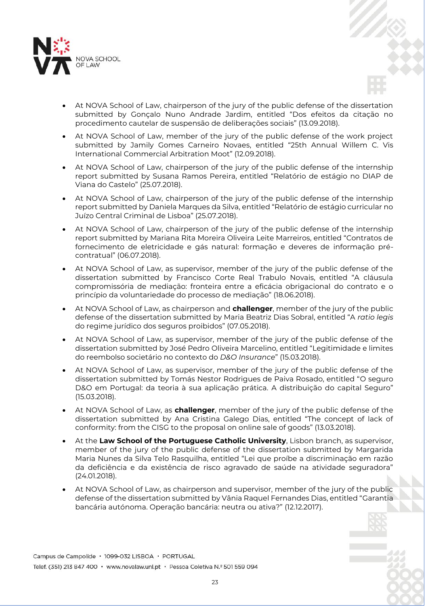

- At NOVA School of Law, chairperson of the jury of the public defense of the dissertation submitted by Gonçalo Nuno Andrade Jardim, entitled "Dos efeitos da citação no procedimento cautelar de suspensão de deliberações sociais" (13.09.2018).
- At NOVA School of Law, member of the jury of the public defense of the work project submitted by Jamily Gomes Carneiro Novaes, entitled "25th Annual Willem C. Vis International Commercial Arbitration Moot" (12.09.2018).
- At NOVA School of Law, chairperson of the jury of the public defense of the internship report submitted by Susana Ramos Pereira, entitled "Relatório de estágio no DIAP de Viana do Castelo" (25.07.2018).
- At NOVA School of Law, chairperson of the jury of the public defense of the internship report submitted by Daniela Marques da Silva, entitled "Relatório de estágio curricular no Juízo Central Criminal de Lisboa" (25.07.2018).
- At NOVA School of Law, chairperson of the jury of the public defense of the internship report submitted by Mariana Rita Moreira Oliveira Leite Marreiros, entitled "Contratos de fornecimento de eletricidade e gás natural: formação e deveres de informação précontratual" (06.07.2018).
- At NOVA School of Law, as supervisor, member of the jury of the public defense of the dissertation submitted by Francisco Corte Real Trabulo Novais, entitled "A cláusula compromissória de mediação: fronteira entre a eficácia obrigacional do contrato e o princípio da voluntariedade do processo de mediação" (18.06.2018).
- At NOVA School of Law, as chairperson and **challenger**, member of the jury of the public defense of the dissertation submitted by Maria Beatriz Dias Sobral, entitled "A *ratio legis* do regime jurídico dos seguros proibidos" (07.05.2018).
- At NOVA School of Law, as supervisor, member of the jury of the public defense of the dissertation submitted by José Pedro Oliveira Marcelino, entitled "Legitimidade e limites do reembolso societário no contexto do *D&O Insurance*" (15.03.2018).
- At NOVA School of Law, as supervisor, member of the jury of the public defense of the dissertation submitted by Tomás Nestor Rodrigues de Paiva Rosado, entitled "O seguro D&O em Portugal: da teoria à sua aplicação prática. A distribuição do capital Seguro" (15.03.2018).
- At NOVA School of Law, as **challenger**, member of the jury of the public defense of the dissertation submitted by Ana Cristina Galego Dias, entitled "The concept of lack of conformity: from the CISG to the proposal on online sale of goods" (13.03.2018).
- At the **Law School of the Portuguese Catholic University**, Lisbon branch, as supervisor, member of the jury of the public defense of the dissertation submitted by Margarida Maria Nunes da Silva Telo Rasquilha, entitled "Lei que proíbe a discriminação em razão da deficiência e da existência de risco agravado de saúde na atividade seguradora" (24.01.2018).
- At NOVA School of Law, as chairperson and supervisor, member of the jury of the public defense of the dissertation submitted by Vânia Raquel Fernandes Dias, entitled "Garantia bancária autónoma. Operação bancária: neutra ou ativa?" (12.12.2017).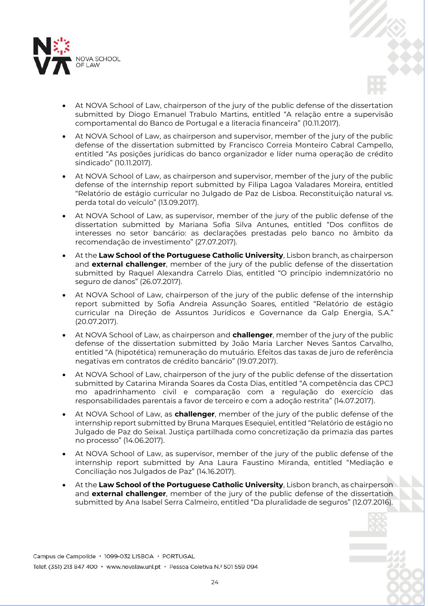

- At NOVA School of Law, chairperson of the jury of the public defense of the dissertation submitted by Diogo Emanuel Trabulo Martins, entitled "A relação entre a supervisão comportamental do Banco de Portugal e a literacia financeira" (10.11.2017).
- At NOVA School of Law, as chairperson and supervisor, member of the jury of the public defense of the dissertation submitted by Francisco Correia Monteiro Cabral Campello, entitled "As posições jurídicas do banco organizador e líder numa operação de crédito sindicado" (10.11.2017).
- At NOVA School of Law, as chairperson and supervisor, member of the jury of the public defense of the internship report submitted by Filipa Lagoa Valadares Moreira, entitled "Relatório de estágio curricular no Julgado de Paz de Lisboa. Reconstituição natural vs. perda total do veículo" (13.09.2017).
- At NOVA School of Law, as supervisor, member of the jury of the public defense of the dissertation submitted by Mariana Sofia Silva Antunes, entitled "Dos conflitos de interesses no setor bancário: as declarações prestadas pelo banco no âmbito da recomendação de investimento" (27.07.2017).
- At the **Law School of the Portuguese Catholic University**, Lisbon branch, as chairperson and **external challenger**, member of the jury of the public defense of the dissertation submitted by Raquel Alexandra Carrelo Dias, entitled "O princípio indemnizatório no seguro de danos" (26.07.2017).
- At NOVA School of Law, chairperson of the jury of the public defense of the internship report submitted by Sofia Andreia Assunção Soares, entitled "Relatório de estágio curricular na Direção de Assuntos Jurídicos e Governance da Galp Energia, S.A." (20.07.2017).
- At NOVA School of Law, as chairperson and **challenger**, member of the jury of the public defense of the dissertation submitted by João Maria Larcher Neves Santos Carvalho, entitled "A (hipotética) remuneração do mutuário. Efeitos das taxas de juro de referência negativas em contratos de crédito bancário" (19.07.2017).
- At NOVA School of Law, chairperson of the jury of the public defense of the dissertation submitted by Catarina Miranda Soares da Costa Dias, entitled "A competência das CPCJ mo apadrinhamento civil e comparação com a regulação do exercício das responsabilidades parentais a favor de terceiro e com a adoção restrita" (14.07.2017).
- At NOVA School of Law, as **challenger**, member of the jury of the public defense of the internship report submitted by Bruna Marques Esequiel, entitled "Relatório de estágio no Julgado de Paz do Seixal. Justiça partilhada como concretização da primazia das partes no processo" (14.06.2017).
- At NOVA School of Law, as supervisor, member of the jury of the public defense of the internship report submitted by Ana Laura Faustino Miranda, entitled "Mediação e Conciliação nos Julgados de Paz" (14.16.2017).
- At the **Law School of the Portuguese Catholic University**, Lisbon branch, as chairperson and **external challenger**, member of the jury of the public defense of the dissertation submitted by Ana Isabel Serra Calmeiro, entitled "Da pluralidade de seguros" (12.07.2016).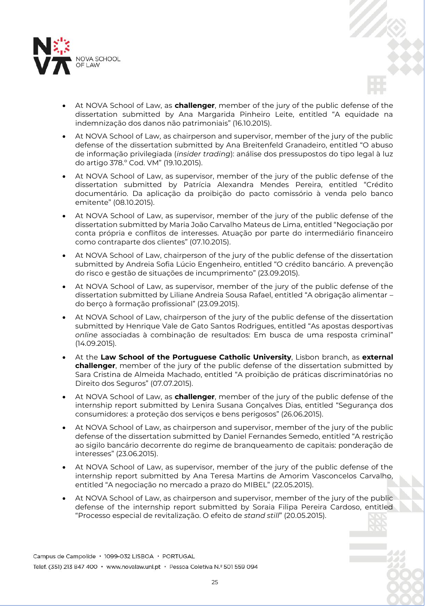

- At NOVA School of Law, as **challenger**, member of the jury of the public defense of the dissertation submitted by Ana Margarida Pinheiro Leite, entitled "A equidade na indemnização dos danos não patrimoniais" (16.10.2015).
- At NOVA School of Law, as chairperson and supervisor, member of the jury of the public defense of the dissertation submitted by Ana Breitenfeld Granadeiro, entitled "O abuso de informação privilegiada (*insider trading*): análise dos pressupostos do tipo legal à luz do artigo 378.º Cod. VM" (19.10.2015).
- At NOVA School of Law, as supervisor, member of the jury of the public defense of the dissertation submitted by Patrícia Alexandra Mendes Pereira, entitled "Crédito documentário. Da aplicação da proibição do pacto comissório à venda pelo banco emitente" (08.10.2015).
- At NOVA School of Law, as supervisor, member of the jury of the public defense of the dissertation submitted by Maria João Carvalho Mateus de Lima, entitled "Negociação por conta própria e conflitos de interesses. Atuação por parte do intermediário financeiro como contraparte dos clientes" (07.10.2015).
- At NOVA School of Law, chairperson of the jury of the public defense of the dissertation submitted by Andreia Sofia Lúcio Engenheiro, entitled "O crédito bancário. A prevenção do risco e gestão de situações de incumprimento" (23.09.2015).
- At NOVA School of Law, as supervisor, member of the jury of the public defense of the dissertation submitted by Liliane Andreia Sousa Rafael, entitled "A obrigação alimentar – do berço à formação profissional" (23.09.2015).
- At NOVA School of Law, chairperson of the jury of the public defense of the dissertation submitted by Henrique Vale de Gato Santos Rodrigues, entitled "As apostas desportivas *online* associadas à combinação de resultados: Em busca de uma resposta criminal" (14.09.2015).
- At the **Law School of the Portuguese Catholic University**, Lisbon branch, as **external challenger**, member of the jury of the public defense of the dissertation submitted by Sara Cristina de Almeida Machado, entitled "A proibição de práticas discriminatórias no Direito dos Seguros" (07.07.2015).
- At NOVA School of Law, as **challenger**, member of the jury of the public defense of the internship report submitted by Lenira Susana Gonçalves Dias, entitled "Segurança dos consumidores: a proteção dos serviços e bens perigosos" (26.06.2015).
- At NOVA School of Law, as chairperson and supervisor, member of the jury of the public defense of the dissertation submitted by Daniel Fernandes Semedo, entitled "A restrição ao sigilo bancário decorrente do regime de branqueamento de capitais: ponderação de interesses" (23.06.2015).
- At NOVA School of Law, as supervisor, member of the jury of the public defense of the internship report submitted by Ana Teresa Martins de Amorim Vasconcelos Carvalho, entitled "A negociação no mercado a prazo do MIBEL" (22.05.2015).
- At NOVA School of Law, as chairperson and supervisor, member of the jury of the public defense of the internship report submitted by Soraia Filipa Pereira Cardoso, entitled "Processo especial de revitalização. O efeito de *stand still*" (20.05.2015).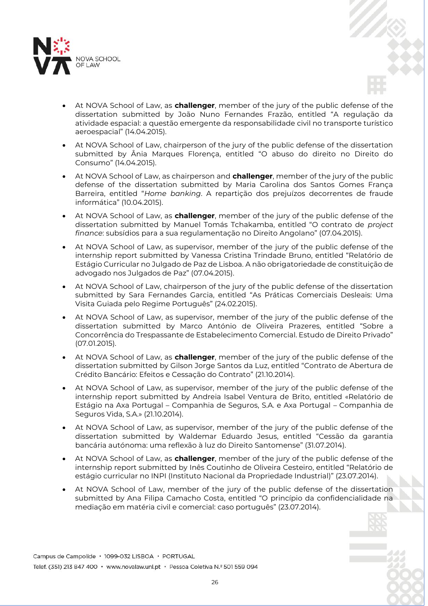

- At NOVA School of Law, as **challenger**, member of the jury of the public defense of the dissertation submitted by João Nuno Fernandes Frazão, entitled "A regulação da atividade espacial: a questão emergente da responsabilidade civil no transporte turístico aeroespacial" (14.04.2015).
- At NOVA School of Law, chairperson of the jury of the public defense of the dissertation submitted by Ânia Marques Florença, entitled "O abuso do direito no Direito do Consumo" (14.04.2015).
- At NOVA School of Law, as chairperson and **challenger**, member of the jury of the public defense of the dissertation submitted by Maria Carolina dos Santos Gomes França Barreira, entitled "*Home banking*. A repartição dos prejuízos decorrentes de fraude informática" (10.04.2015).
- At NOVA School of Law, as **challenger**, member of the jury of the public defense of the dissertation submitted by Manuel Tomás Tchakamba, entitled "O contrato de *project finance*: subsídios para a sua regulamentação no Direito Angolano" (07.04.2015).
- At NOVA School of Law, as supervisor, member of the jury of the public defense of the internship report submitted by Vanessa Cristina Trindade Bruno, entitled "Relatório de Estágio Curricular no Julgado de Paz de Lisboa. A não obrigatoriedade de constituição de advogado nos Julgados de Paz" (07.04.2015).
- At NOVA School of Law, chairperson of the jury of the public defense of the dissertation submitted by Sara Fernandes Garcia, entitled "As Práticas Comerciais Desleais: Uma Visita Guiada pelo Regime Português" (24.02.2015).
- At NOVA School of Law, as supervisor, member of the jury of the public defense of the dissertation submitted by Marco António de Oliveira Prazeres, entitled "Sobre a Concorrência do Trespassante de Estabelecimento Comercial. Estudo de Direito Privado" (07.01.2015).
- At NOVA School of Law, as **challenger**, member of the jury of the public defense of the dissertation submitted by Gilson Jorge Santos da Luz, entitled "Contrato de Abertura de Crédito Bancário: Efeitos e Cessação do Contrato" (21.10.2014).
- At NOVA School of Law, as supervisor, member of the jury of the public defense of the internship report submitted by Andreia Isabel Ventura de Brito, entitled «Relatório de Estágio na Axa Portugal – Companhia de Seguros, S.A. e Axa Portugal – Companhia de Seguros Vida, S.A.» (21.10.2014).
- At NOVA School of Law, as supervisor, member of the jury of the public defense of the dissertation submitted by Waldemar Eduardo Jesus, entitled "Cessão da garantia bancária autónoma: uma reflexão à luz do Direito Santomense" (31.07.2014).
- At NOVA School of Law, as **challenger**, member of the jury of the public defense of the internship report submitted by Inês Coutinho de Oliveira Cesteiro, entitled "Relatório de estágio curricular no INPI (Instituto Nacional da Propriedade Industrial)" (23.07.2014).
- At NOVA School of Law, member of the jury of the public defense of the dissertation submitted by Ana Filipa Camacho Costa, entitled "O princípio da confidencialidade na mediação em matéria civil e comercial: caso português" (23.07.2014).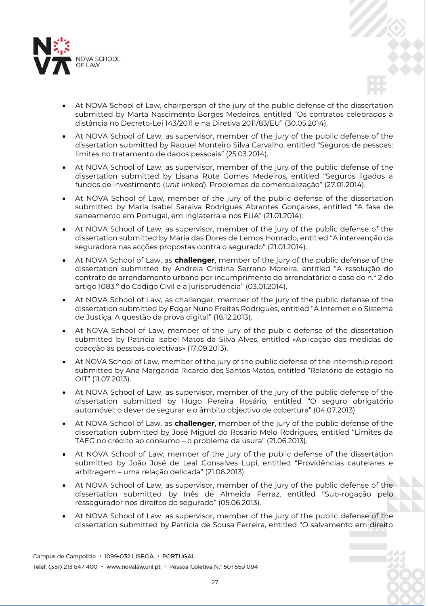

- At NOVA School of Law, chairperson of the jury of the public defense of the dissertation submitted by Marta Nascimento Borges Medeiros, entitled "Os contratos celebrados à distância no Decreto-Lei 143/2011 e na Diretiva 2011/83/EU" (30.05.2014).
- At NOVA School of Law, as supervisor, member of the jury of the public defense of the dissertation submitted by Raquel Monteiro Silva Carvalho, entitled "Seguros de pessoas: limites no tratamento de dados pessoais" (25.03.2014).
- At NOVA School of Law, as supervisor, member of the jury of the public defense of the dissertation submitted by Lisana Rute Gomes Medeiros, entitled "Seguros ligados a fundos de investimento (*unit linked*). Problemas de comercialização" (27.01.2014).
- At NOVA School of Law, member of the jury of the public defense of the dissertation submitted by Maria Isabel Saraiva Rodrigues Abrantes Gonçalves, entitled "A fase de saneamento em Portugal, em Inglaterra e nos EUA" (21.01.2014).
- At NOVA School of Law, as supervisor, member of the jury of the public defense of the dissertation submitted by Maria das Dores de Lemos Honrado, entitled "A intervenção da seguradora nas acções propostas contra o segurado" (21.01.2014).
- At NOVA School of Law, as **challenger**, member of the jury of the public defense of the dissertation submitted by Andreia Cristina Serrano Moreira, entitled "A resolução do contrato de arrendamento urbano por incumprimento do arrendatário: o caso do n.º 2 do artigo 1083.º do Código Civil e a jurisprudência" (03.01.2014).
- At NOVA School of Law, as challenger, member of the jury of the public defense of the dissertation submitted by Edgar Nuno Freitas Rodrigues, entitled "A Internet e o Sistema de Justiça. A questão da prova digital" (18.12.2013).
- At NOVA School of Law, member of the jury of the public defense of the dissertation submitted by Patrícia Isabel Matos da Silva Alves, entitled «Aplicação das medidas de coacção às pessoas colectivas» (17.09.2013).
- At NOVA School of Law, member of the jury of the public defense of the internship report submitted by Ana Margarida Ricardo dos Santos Matos, entitled "Relatório de estágio na OIT" (11.07.2013).
- At NOVA School of Law, as supervisor, member of the jury of the public defense of the dissertation submitted by Hugo Pereira Rosário, entitled "O seguro obrigatório automóvel: o dever de segurar e o âmbito objectivo de cobertura" (04.07.2013).
- At NOVA School of Law, as **challenger**, member of the jury of the public defense of the dissertation submitted by José Miguel do Rosário Melo Rodrigues, entitled "Limites da TAEG no crédito ao consumo – o problema da usura" (21.06.2013).
- At NOVA School of Law, member of the jury of the public defense of the dissertation submitted by João José de Leal Gonsalves Lupi, entitled "Providências cautelares e arbitragem – uma relação delicada" (21.06.2013).
- At NOVA School of Law, as supervisor, member of the jury of the public defense of the dissertation submitted by Inês de Almeida Ferraz, entitled "Sub-rogação pelo ressegurador nos direitos do segurado" (05.06.2013).
- At NOVA School of Law, as supervisor, member of the jury of the public defense of the dissertation submitted by Patrícia de Sousa Ferreira, entitled "O salvamento em direito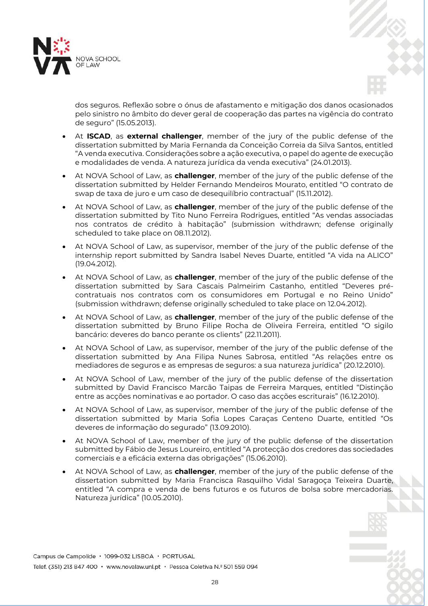



dos seguros. Reflexão sobre o ónus de afastamento e mitigação dos danos ocasionados pelo sinistro no âmbito do dever geral de cooperação das partes na vigência do contrato de seguro" (15.05.2013).

- At **ISCAD**, as **external challenger**, member of the jury of the public defense of the dissertation submitted by Maria Fernanda da Conceição Correia da Silva Santos, entitled "A venda executiva. Considerações sobre a ação executiva, o papel do agente de execução e modalidades de venda. A natureza jurídica da venda executiva" (24.01.2013).
- At NOVA School of Law, as **challenger**, member of the jury of the public defense of the dissertation submitted by Helder Fernando Mendeiros Mourato, entitled "O contrato de swap de taxa de juro e um caso de desequilíbrio contractual" (15.11.2012).
- At NOVA School of Law, as **challenger**, member of the jury of the public defense of the dissertation submitted by Tito Nuno Ferreira Rodrigues, entitled "As vendas associadas nos contratos de crédito à habitação" (submission withdrawn; defense originally scheduled to take place on 08.11.2012).
- At NOVA School of Law, as supervisor, member of the jury of the public defense of the internship report submitted by Sandra Isabel Neves Duarte, entitled "A vida na ALICO" (19.04.2012).
- At NOVA School of Law, as **challenger**, member of the jury of the public defense of the dissertation submitted by Sara Cascais Palmeirim Castanho, entitled "Deveres précontratuais nos contratos com os consumidores em Portugal e no Reino Unido" (submission withdrawn; defense originally scheduled to take place on 12.04.2012).
- At NOVA School of Law, as **challenger**, member of the jury of the public defense of the dissertation submitted by Bruno Filipe Rocha de Oliveira Ferreira, entitled "O sigilo bancário: deveres do banco perante os clients" (22.11.2011).
- At NOVA School of Law, as supervisor, member of the jury of the public defense of the dissertation submitted by Ana Filipa Nunes Sabrosa, entitled "As relações entre os mediadores de seguros e as empresas de seguros: a sua natureza jurídica" (20.12.2010).
- At NOVA School of Law, member of the jury of the public defense of the dissertation submitted by David Francisco Marcão Taipas de Ferreira Marques, entitled "Distinção entre as acções nominativas e ao portador. O caso das acções escriturais" (16.12.2010).
- At NOVA School of Law, as supervisor, member of the jury of the public defense of the dissertation submitted by Maria Sofia Lopes Caraças Centeno Duarte, entitled "Os deveres de informação do segurado" (13.09.2010).
- At NOVA School of Law, member of the jury of the public defense of the dissertation submitted by Fábio de Jesus Loureiro, entitled "A protecção dos credores das sociedades comerciais e a eficácia externa das obrigações" (15.06.2010).
- At NOVA School of Law, as **challenger**, member of the jury of the public defense of the dissertation submitted by Maria Francisca Rasquilho Vidal Saragoça Teixeira Duarte, entitled "A compra e venda de bens futuros e os futuros de bolsa sobre mercadorias. Natureza jurídica" (10.05.2010).

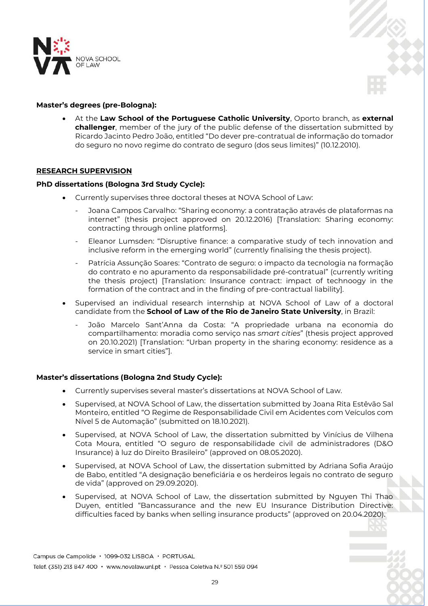



# **Master's degrees (pre-Bologna):**

 At the **Law School of the Portuguese Catholic University**, Oporto branch, as **external challenger**, member of the jury of the public defense of the dissertation submitted by Ricardo Jacinto Pedro João, entitled "Do dever pre-contratual de informação do tomador do seguro no novo regime do contrato de seguro (dos seus limites)" (10.12.2010).

# **RESEARCH SUPERVISION**

## **PhD dissertations (Bologna 3rd Study Cycle):**

- Currently supervises three doctoral theses at NOVA School of Law:
	- Joana Campos Carvalho: "Sharing economy: a contratação através de plataformas na internet" (thesis project approved on 20.12.2016) [Translation: Sharing economy: contracting through online platforms].
	- Eleanor Lumsden: "Disruptive finance: a comparative study of tech innovation and inclusive reform in the emerging world" (currently finalising the thesis project).
	- Patrícia Assunção Soares: "Contrato de seguro: o impacto da tecnologia na formação do contrato e no apuramento da responsabilidade pré-contratual" (currently writing the thesis project) [Translation: Insurance contract: impact of technoogy in the formation of the contract and in the finding of pre-contractual liability].
- Supervised an individual research internship at NOVA School of Law of a doctoral candidate from the **School of Law of the Rio de Janeiro State University**, in Brazil:
	- João Marcelo Sant'Anna da Costa: "A propriedade urbana na economia do compartilhamento: moradia como serviço nas *smart cities*" (thesis project approved on 20.10.2021) [Translation: "Urban property in the sharing economy: residence as a service in smart cities"].

# **Master's dissertations (Bologna 2nd Study Cycle):**

- Currently supervises several master's dissertations at NOVA School of Law.
- Supervised, at NOVA School of Law, the dissertation submitted by Joana Rita Estêvão Sal Monteiro, entitled "O Regime de Responsabilidade Civil em Acidentes com Veículos com Nível 5 de Automação" (submitted on 18.10.2021).
- Supervised, at NOVA School of Law, the dissertation submitted by Vinícius de Vilhena Cota Moura, entitled "O seguro de responsabilidade civil de administradores (D&O Insurance) à luz do Direito Brasileiro" (approved on 08.05.2020).
- Supervised, at NOVA School of Law, the dissertation submitted by Adriana Sofia Araújo de Babo, entitled "A designação beneficiária e os herdeiros legais no contrato de seguro de vida" (approved on 29.09.2020).
- Supervised, at NOVA School of Law, the dissertation submitted by Nguyen Thi Thao Duyen, entitled "Bancassurance and the new EU Insurance Distribution Directive: difficulties faced by banks when selling insurance products" (approved on 20.04.2020).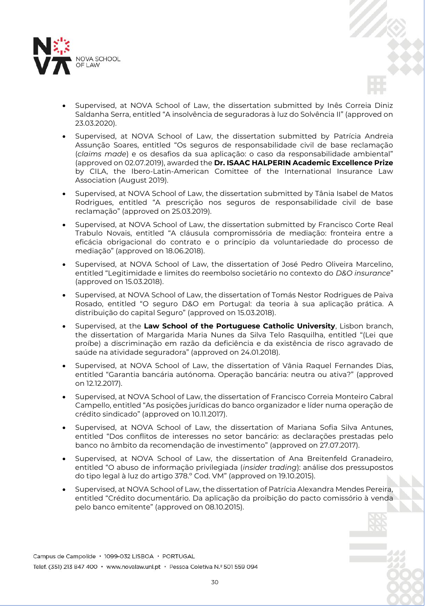

- Supervised, at NOVA School of Law, the dissertation submitted by Inês Correia Diniz Saldanha Serra, entitled "A insolvência de seguradoras à luz do Solvência II" (approved on 23.03.2020).
- Supervised, at NOVA School of Law, the dissertation submitted by Patrícia Andreia Assunção Soares, entitled "Os seguros de responsabilidade civil de base reclamação (*claims made*) e os desafios da sua aplicação: o caso da responsabilidade ambiental" (approved on 02.07.2019), awarded the **Dr. ISAAC HALPERIN Academic Excellence Prize** by CILA, the Ibero-Latin-American Comittee of the International Insurance Law Association (August 2019).
- Supervised, at NOVA School of Law, the dissertation submitted by Tânia Isabel de Matos Rodrigues, entitled "A prescrição nos seguros de responsabilidade civil de base reclamação" (approved on 25.03.2019).
- Supervised, at NOVA School of Law, the dissertation submitted by Francisco Corte Real Trabulo Novais, entitled "A cláusula compromissória de mediação: fronteira entre a eficácia obrigacional do contrato e o princípio da voluntariedade do processo de mediação" (approved on 18.06.2018).
- Supervised, at NOVA School of Law, the dissertation of José Pedro Oliveira Marcelino, entitled "Legitimidade e limites do reembolso societário no contexto do *D&O insurance*" (approved on 15.03.2018).
- Supervised, at NOVA School of Law, the dissertation of Tomás Nestor Rodrigues de Paiva Rosado, entitled "O seguro D&O em Portugal: da teoria à sua aplicação prática. A distribuição do capital Seguro" (approved on 15.03.2018).
- Supervised, at the **Law School of the Portuguese Catholic University**, Lisbon branch, the dissertation of Margarida Maria Nunes da Silva Telo Rasquilha, entitled "(Lei que proíbe) a discriminação em razão da deficiência e da existência de risco agravado de saúde na atividade seguradora" (approved on 24.01.2018).
- Supervised, at NOVA School of Law, the dissertation of Vânia Raquel Fernandes Dias, entitled "Garantia bancária autónoma. Operação bancária: neutra ou ativa?" (approved on 12.12.2017).
- Supervised, at NOVA School of Law, the dissertation of Francisco Correia Monteiro Cabral Campello, entitled "As posições jurídicas do banco organizador e líder numa operação de crédito sindicado" (approved on 10.11.2017).
- Supervised, at NOVA School of Law, the dissertation of Mariana Sofia Silva Antunes, entitled "Dos conflitos de interesses no setor bancário: as declarações prestadas pelo banco no âmbito da recomendação de investimento" (approved on 27.07.2017).
- Supervised, at NOVA School of Law, the dissertation of Ana Breitenfeld Granadeiro, entitled "O abuso de informação privilegiada (*insider trading*): análise dos pressupostos do tipo legal à luz do artigo 378.º Cod. VM" (approved on 19.10.2015).
- Supervised, at NOVA School of Law, the dissertation of Patrícia Alexandra Mendes Pereira, entitled "Crédito documentário. Da aplicação da proibição do pacto comissório à venda pelo banco emitente" (approved on 08.10.2015).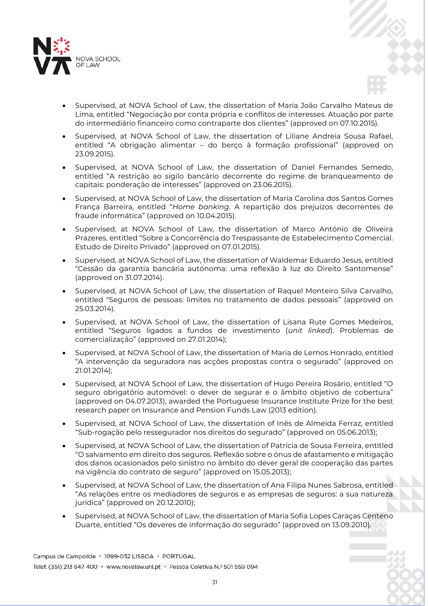



- Supervised, at NOVA School of Law, the dissertation of Liliane Andreia Sousa Rafael, entitled "A obrigação alimentar – do berço à formação profissional" (approved on 23.09.2015).
- Supervised, at NOVA School of Law, the dissertation of Daniel Fernandes Semedo, entitled "A restrição ao sigilo bancário decorrente do regime de branqueamento de capitais: ponderação de interesses" (approved on 23.06.2015).
- Supervised, at NOVA School of Law, the dissertation of Maria Carolina dos Santos Gomes França Barreira, entitled "*Home banking*. A repartição dos prejuízos decorrentes de fraude informática" (approved on 10.04.2015).
- Supervised, at NOVA School of Law, the dissertation of Marco António de Oliveira Prazeres, entitled "Sobre a Concorrência do Trespassante de Estabelecimento Comercial. Estudo de Direito Privado" (approved on 07.01.2015).
- Supervised, at NOVA School of Law, the dissertation of Waldemar Eduardo Jesus, entitled "Cessão da garantia bancária autónoma: uma reflexão à luz do Direito Santomense" (approved on 31.07.2014).
- Supervised, at NOVA School of Law, the dissertation of Raquel Monteiro Silva Carvalho, entitled "Seguros de pessoas: limites no tratamento de dados pessoais" (approved on 25.03.2014).
- Supervised, at NOVA School of Law, the dissertation of Lisana Rute Gomes Medeiros, entitled "Seguros ligados a fundos de investimento (*unit linked*). Problemas de comercialização" (approved on 27.01.2014);
- Supervised, at NOVA School of Law, the dissertation of Maria de Lemos Honrado, entitled "A intervenção da seguradora nas acções propostas contra o segurado" (approved on 21.01.2014);
- Supervised, at NOVA School of Law, the dissertation of Hugo Pereira Rosário, entitled "O seguro obrigatório automóvel: o dever de segurar e o âmbito objetivo de cobertura" (approved on 04.07.2013), awarded the Portuguese Insurance Institute Prize for the best research paper on Insurance and Pension Funds Law (2013 edition).
- Supervised, at NOVA School of Law, the dissertation of Inês de Almeida Ferraz, entitled "Sub-rogação pelo ressegurador nos direitos do segurado" (approved on 05.06.2013);
- Supervised, at NOVA School of Law, the dissertation of Patrícia de Sousa Ferreira, entitled "O salvamento em direito dos seguros. Reflexão sobre o ónus de afastamento e mitigação dos danos ocasionados pelo sinistro no âmbito do dever geral de cooperação das partes na vigência do contrato de seguro" (approved on 15.05.2013);
- Supervised, at NOVA School of Law, the dissertation of Ana Filipa Nunes Sabrosa, entitled "As relações entre os mediadores de seguros e as empresas de seguros: a sua natureza jurídica" (approved on 20.12.2010);
- Supervised, at NOVA School of Law, the dissertation of Maria Sofia Lopes Caraças Centeno Duarte, entitled "Os deveres de informação do segurado" (approved on 13.09.2010).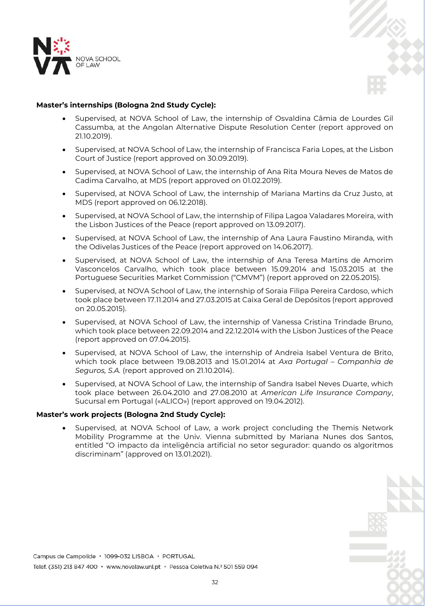



# **Master's internships (Bologna 2nd Study Cycle):**

- Supervised, at NOVA School of Law, the internship of Osvaldina Câmia de Lourdes Gil Cassumba, at the Angolan Alternative Dispute Resolution Center (report approved on 21.10.2019).
- Supervised, at NOVA School of Law, the internship of Francisca Faria Lopes, at the Lisbon Court of Justice (report approved on 30.09.2019).
- Supervised, at NOVA School of Law, the internship of Ana Rita Moura Neves de Matos de Cadima Carvalho, at MDS (report approved on 01.02.2019).
- Supervised, at NOVA School of Law, the internship of Mariana Martins da Cruz Justo, at MDS (report approved on 06.12.2018).
- Supervised, at NOVA School of Law, the internship of Filipa Lagoa Valadares Moreira, with the Lisbon Justices of the Peace (report approved on 13.09.2017).
- Supervised, at NOVA School of Law, the internship of Ana Laura Faustino Miranda, with the Odivelas Justices of the Peace (report approved on 14.06.2017).
- Supervised, at NOVA School of Law, the internship of Ana Teresa Martins de Amorim Vasconcelos Carvalho, which took place between 15.09.2014 and 15.03.2015 at the Portuguese Securities Market Commission ("CMVM") (report approved on 22.05.2015).
- Supervised, at NOVA School of Law, the internship of Soraia Filipa Pereira Cardoso, which took place between 17.11.2014 and 27.03.2015 at Caixa Geral de Depósitos (report approved on 20.05.2015).
- Supervised, at NOVA School of Law, the internship of Vanessa Cristina Trindade Bruno, which took place between 22.09.2014 and 22.12.2014 with the Lisbon Justices of the Peace (report approved on 07.04.2015).
- Supervised, at NOVA School of Law, the internship of Andreia Isabel Ventura de Brito, which took place between 19.08.2013 and 15.01.2014 at *Axa Portugal – Companhia de Seguros, S.A.* (report approved on 21.10.2014).
- Supervised, at NOVA School of Law, the internship of Sandra Isabel Neves Duarte, which took place between 26.04.2010 and 27.08.2010 at *American Life Insurance Company*, Sucursal em Portugal («ALICO») (report approved on 19.04.2012).

# **Master's work projects (Bologna 2nd Study Cycle):**

 Supervised, at NOVA School of Law, a work project concluding the Themis Network Mobility Programme at the Univ. Vienna submitted by Mariana Nunes dos Santos, entitled "O impacto da inteligência artificial no setor segurador: quando os algoritmos discriminam" (approved on 13.01.2021).

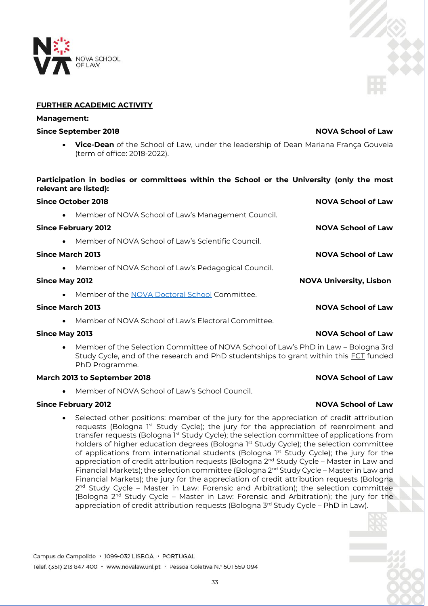# **IOVA SCHOOL**

# **FURTHER ACADEMIC ACTIVITY**

# **Management:**

# **Since September 2018 NOVA School of Law**

 **Vice-Dean** of the School of Law, under the leadership of Dean Mariana França Gouveia (term of office: 2018-2022).

# **Participation in bodies or committees within the School or the University (only the most relevant are listed):**

| <b>Since October 2018</b>  |                                                     | <b>NOVA School of Law</b>      |
|----------------------------|-----------------------------------------------------|--------------------------------|
| $\bullet$                  | Member of NOVA School of Law's Management Council.  |                                |
| <b>Since February 2012</b> |                                                     | <b>NOVA School of Law</b>      |
| $\bullet$                  | Member of NOVA School of Law's Scientific Council.  |                                |
| Since March 2013           |                                                     | <b>NOVA School of Law</b>      |
| $\bullet$                  | Member of NOVA School of Law's Pedagogical Council. |                                |
| <b>Since May 2012</b>      |                                                     | <b>NOVA University, Lisbon</b> |
| $\bullet$                  | Member of the NOVA Doctoral School Committee.       |                                |
| Since March 2013           |                                                     | <b>NOVA School of Law</b>      |
| $\bullet$                  | Member of NOVA School of Law's Flectoral Committee. |                                |

# **Since May 2013 NOVA School of Law**

 Member of the Selection Committee of NOVA School of Law's PhD in Law – Bologna 3rd Study Cycle, and of the research and PhD studentships to grant within this **FCT** funded PhD Programme.

# **March 2013 to September 2018 NOVA School of Law**

Member of NOVA School of Law's School Council.

# **Since February 2012 NOVA School of Law**

 Selected other positions: member of the jury for the appreciation of credit attribution requests (Bologna 1st Study Cycle); the jury for the appreciation of reenrolment and transfer requests (Bologna 1<sup>st</sup> Study Cycle); the selection committee of applications from holders of higher education degrees (Bologna 1st Study Cycle); the selection committee of applications from international students (Bologna 1st Study Cycle); the jury for the appreciation of credit attribution requests (Bologna 2<sup>nd</sup> Study Cycle – Master in Law and Financial Markets); the selection committee (Bologna  $2^{nd}$  Study Cycle – Master in Law and Financial Markets); the jury for the appreciation of credit attribution requests (Bologna 2<sup>nd</sup> Study Cycle – Master in Law: Forensic and Arbitration); the selection committee (Bologna 2<sup>nd</sup> Study Cycle – Master in Law: Forensic and Arbitration); the jury for the appreciation of credit attribution requests (Bologna 3<sup>rd</sup> Study Cycle – PhD in Law).



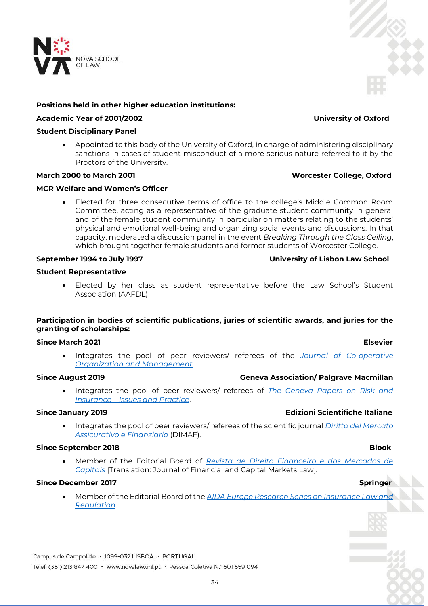

# **Positions held in other higher education institutions:**

# **Academic Year of 2001/2002 University of Oxford**

# **Student Disciplinary Panel**

 Appointed to this body of the University of Oxford, in charge of administering disciplinary sanctions in cases of student misconduct of a more serious nature referred to it by the Proctors of the University.

## **March 2000 to March 2001 Worcester College, Oxford**

# **MCR Welfare and Women's Officer**

 Elected for three consecutive terms of office to the college's Middle Common Room Committee, acting as a representative of the graduate student community in general and of the female student community in particular on matters relating to the students' physical and emotional well-being and organizing social events and discussions. In that capacity, moderated a discussion panel in the event *Breaking Through the Glass Ceiling*, which brought together female students and former students of Worcester College.

# **Student Representative**

 Elected by her class as student representative before the Law School's Student Association (AAFDL)

# **Participation in bodies of scientific publications, juries of scientific awards, and juries for the granting of scholarships:**

### **Since March 2021 Elsevier**

 Integrates the pool of peer reviewers/ referees of the *[Journal](https://www.journals.elsevier.com/journal-of-co-operative-organization-and-management) of Co-operative Organization and Management*.

# **Since August 2019 Geneva Association/ Palgrave Macmillan**

 Integrates the pool of peer reviewers/ referees of *The [Geneva Papers on Risk and](https://www.palgrave.com/gp/journal/41288)  Insurance – [Issues and Practice](https://www.palgrave.com/gp/journal/41288)*.

### **Since January 2019 Edizioni Scientifiche Italiane**

 Integrates the pool of peer reviewers/ referees of the scientific journal *[Diritto del Mercato](https://www.edizioniesi.it/pubblicazioni/riviste/diritto_-_riviste/diritto-mercato-assicurativo-finanziario.html)  [Assicurativo e Finanziario](https://www.edizioniesi.it/pubblicazioni/riviste/diritto_-_riviste/diritto-mercato-assicurativo-finanziario.html)* (DIMAF).

## **Since September 2018 Blook**

 Member of the Editorial Board of *[Revista de Direito Financeiro e dos Mercados de](https://rdfmc.blook.pt/)  [Capitais](https://rdfmc.blook.pt/)* [Translation: Journal of Financial and Capital Markets Law].

# **Since December 2017** Superintendent and the state of the state of the state of the Springer Springer

 Member of the Editorial Board of the *[AIDA Europe Research Series on Insurance Law and](https://www.springer.com/series/16331)  [Regulation](https://www.springer.com/series/16331)*.

Campus de Campolide · 1099-032 LISBOA · PORTUGAL

Telef. (351) 213 847 400 · www.novalaw.unl.pt · Pessoa Coletiva N.º 501 559 094



# **September 1994 to July 1997 University of Lisbon Law School**

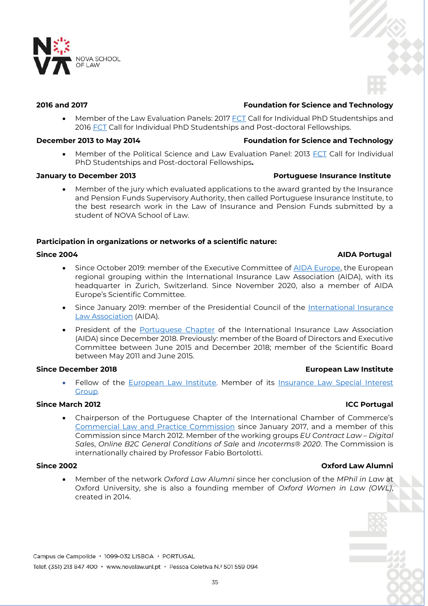

# **2016 and 2017 Foundation for Science and Technology**

Member of the Law Evaluation Panels: 2017 [FCT](http://www.fct.pt/) Call for Individual PhD Studentships and 2016 [FCT](http://www.fct.pt/) Call for Individual PhD Studentships and Post-doctoral Fellowships.

# **December 2013 to May 2014 Foundation for Science and Technology**

• Member of the Political Science and Law Evaluation Panel: 2013 [FCT](http://www.fct.pt/) Call for Individual PhD Studentships and Post-doctoral Fellowships**.**

# **January to December 2013 Portuguese Insurance Institute**

 Member of the jury which evaluated applications to the award granted by the Insurance and Pension Funds Supervisory Authority, then called Portuguese Insurance Institute, to the best research work in the Law of Insurance and Pension Funds submitted by a student of NOVA School of Law.

# **Participation in organizations or networks of a scientific nature:**

# **Since 2004 AIDA Portugal**

- Since October 2019: member of the Executive Committee of [AIDA Europe,](https://aidainsurance.org/regional-groupings/aida-europe) the European regional grouping within the International Insurance Law Association (AIDA), with its headquarter in Zurich, Switzerland. Since November 2020, also a member of AIDA Europe's Scientific Committee.
- Since January 2019: member of the Presidential Council of the International Insurance [Law Association](https://aidainsurance.org/) (AIDA).
- President of the [Portuguese Chapter](http://www.aida-portugal.org/) of the International Insurance Law Association (AIDA) since December 2018. Previously: member of the Board of Directors and Executive Committee between June 2015 and December 2018; member of the Scientific Board between May 2011 and June 2015.

# **Since December 2018 European Law Institute**

Fellow of the [European Law Institute.](https://europeanlawinstitute.eu/hubs-sigs/sigs/insurance-law-sig/) Member of its Insurance Law Special Interest [Group.](https://europeanlawinstitute.eu/hubs-sigs/sigs/insurance-law-sig/)

# **Since March 2012 ICC Portugal**

 Chairperson of the Portuguese Chapter of the International Chamber of Commerce's [Commercial Law and Practice Commission](http://www.iccwbo.org/about-icc/policy-commissions/commercial-law-and-practice/) since January 2017, and a member of this Commission since March 2012. Member of the working groups *EU Contract Law – Digital Sales*, *Online B2C General Conditions of Sale* and *Incoterms® 2020*. The Commission is internationally chaired by Professor Fabio Bortolotti.

# **Since 2002 Oxford Law Alumni**

 Member of the network *Oxford Law Alumni* since her conclusion of the *MPhil in Law* at Oxford University, she is also a founding member of *Oxford Women in Law (OWL)*, created in 2014.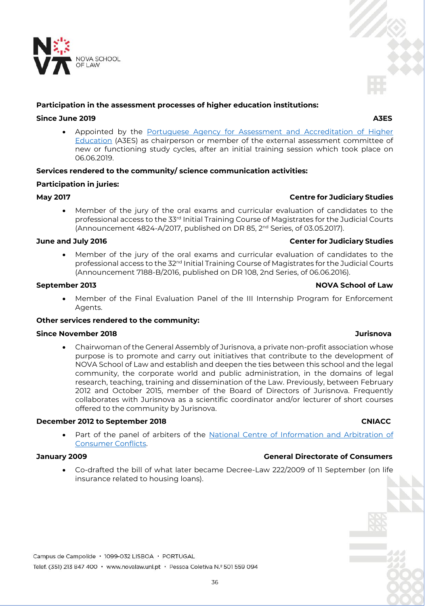

# **Participation in the assessment processes of higher education institutions:**

# **Since June 2019 A3ES**

 Appointed by the [Portuguese Agency for Assessment and Accreditation of Higher](https://www.a3es.pt/)  [Education](https://www.a3es.pt/) (A3ES) as chairperson or member of the external assessment committee of new or functioning study cycles, after an initial training session which took place on 06.06.2019.

# **Services rendered to the community/ science communication activities:**

# **Participation in juries:**

# **May 2017 Centre for Judiciary Studies**

 Member of the jury of the oral exams and curricular evaluation of candidates to the professional access to the 33<sup>rd</sup> Initial Training Course of Magistrates for the Judicial Courts (Announcement 4824-A/2017, published on DR 85, 2nd Series, of 03.05.2017).

# **June and July 2016 Center for Judiciary Studies**

 Member of the jury of the oral exams and curricular evaluation of candidates to the professional access to the 32<sup>nd</sup> Initial Training Course of Magistrates for the Judicial Courts (Announcement 7188-B/2016, published on DR 108, 2nd Series, of 06.06.2016).

# **September 2013 NOVA School of Law**

 Member of the Final Evaluation Panel of the III Internship Program for Enforcement Agents.

# **Other services rendered to the community:**

# **Since November 2018 Jurisnova**

 Chairwoman of the General Assembly of Jurisnova, a private non-profit association whose purpose is to promote and carry out initiatives that contribute to the development of NOVA School of Law and establish and deepen the ties between this school and the legal community, the corporate world and public administration, in the domains of legal research, teaching, training and dissemination of the Law. Previously, between February 2012 and October 2015, member of the Board of Directors of Jurisnova. Frequently collaborates with Jurisnova as a scientific coordinator and/or lecturer of short courses offered to the community by Jurisnova.

# **December 2012 to September 2018 CNIACC**

Part of the panel of arbiters of the National Centre of Information and Arbitration of [Consumer Conflicts.](http://www.arbitragemdeconsumo.org/arbitragem.php)

- **January 2009 General Directorate of Consumers**
	- Co-drafted the bill of what later became Decree-Law 222/2009 of 11 September (on life insurance related to housing loans).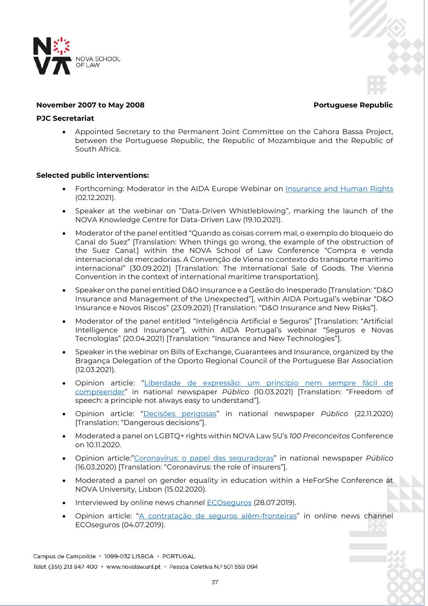

# **November 2007 to May 2008 Portuguese Republic**

# **PJC Secretariat**

 Appointed Secretary to the Permanent Joint Committee on the Cahora Bassa Project, between the Portuguese Republic, the Republic of Mozambique and the Republic of South Africa.

## **Selected public interventions:**

- Forthcoming: Moderator in the AIDA Europe Webinar on **Insurance and Human Rights** (02.12.2021).
- Speaker at the webinar on "Data-Driven Whistleblowing", marking the launch of the NOVA Knowledge Centre for Data-Driven Law (19.10.2021).
- Moderator of the panel entitled "Quando as coisas correm mal, o exemplo do bloqueio do Canal do Suez" [Translation: When things go wrong, the example of the obstruction of the Suez Canal.] within the NOVA School of Law Conference "Compra e venda internacional de mercadorias. A Convenção de Viena no contexto do transporte marítimo internacional" (30.09.2021) [Translation: The International Sale of Goods. The Vienna Convention in the context of international maritime transportation].
- Speaker on the panel entitled D&O Insurance e a Gestão do Inesperado [Translation: "D&O Insurance and Management of the Unexpected"], within AIDA Portugal's webinar "D&O Insurance e Novos Riscos" (23.09.2021) [Translation: "D&O Insurance and New Risks"].
- Moderator of the panel entitled "Inteligência Artificial e Seguros" [Translation: "Artificial Intelligence and Insurance"], within AIDA Portugal's webinar "Seguros e Novas Tecnologias" (20.04.2021) [Translation: "Insurance and New Technologies"].
- Speaker in the webinar on Bills of Exchange, Guarantees and Insurance, organized by the Bragança Delegation of the Oporto Regional Council of the Portuguese Bar Association (12.03.2021).
- Opinion article: "Liberdade de expressão: um princípio nem sempre fácil de [compreender](https://www.publico.pt/2021/03/10/opiniao/noticia/liberdade-expressao-principio-facil-compreender-1953717)" in national newspaper *Público* (10.03.2021) [Translation: "Freedom of speech: a principle not always easy to understand"].
- Opinion article: "[Decisões perigosas](https://www.publico.pt/2020/11/22/ciencia/noticia/decisoes-perigosas-1939769)" in national newspaper *Público* (22.11.2020) [Translation: "Dangerous decisions"].
- Moderated a panel on LGBTQ+ rights within NOVA Law SU's *100 Preconceitos* Conference on 10.11.2020.
- Opinion article:"[Coronavírus: o papel das seguradoras](https://www.publico.pt/2020/03/16/economia/opiniao/coronavirus-papel-seguradoras-1907630)" in national newspaper *Público* (16.03.2020) [Translation: "Coronavirus: the role of insurers"].
- Moderated a panel on gender equality in education within a HeForShe Conference at NOVA University, Lisbon (15.02.2020).
- Interviewed by online news channel [ECOseguros](https://eco.sapo.pt/entrevista/margarida-rego-o-mercado-e-dominado-pelas-resseguradoras/) (28.07.2019).
- Opinion article: "[A contratação de seguros além-fronteiras](https://eco.sapo.pt/opiniao/o-impacto-de-um-contrato-de-seguro-por-cada-membro-da-ue/)" in online news channel ECOseguros (04.07.2019).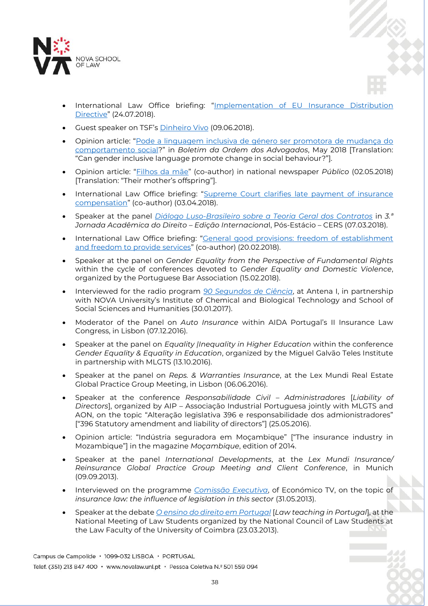

- International Law Office briefing: "Implementation of EU Insurance Distribution [Directive](https://www.mlgts.pt/xms/files/v1/Publicacoes/Artigos/2018/Implementation_of_EU_Insurance_Distribution_Directive.pdf)" (24.07.2018).
- Guest speaker on TSF's [Dinheiro Vivo](https://www.dinheirovivo.pt/economia/margarida-lima-rego-a-confianca-no-sistema-e-fundamental-12791648.html) (09.06.2018).
- Opinion article: "[Pode a linguagem inclusiva de género ser promotora de mudança do](http://boletim.oa.pt/oa-10/actualidade-em-debate?fbclid=IwAR1U2pT2FiRY-2XOn7YIxpIdFFnPsPI-uwI9V0jBv8H1Tc2pLVa-fdBLE0s)  [comportamento social](http://boletim.oa.pt/oa-10/actualidade-em-debate?fbclid=IwAR1U2pT2FiRY-2XOn7YIxpIdFFnPsPI-uwI9V0jBv8H1Tc2pLVa-fdBLE0s)?" in *Boletim da Ordem dos Advogados*, May 2018 [Translation: "Can gender inclusive language promote change in social behaviour?"].
- Opinion article: "[Filhos da mãe](https://www.publico.pt/2018/05/02/sociedade/opiniao/filhos-da-mae-1815754)" (co-author) in national newspaper *Público* (02.05.2018) [Translation: "Their mother's offspring"].
- International Law Office briefing: "[Supreme Court clarifies late payment of insurance](https://www.mlgts.pt/xms/files/v1/Publicacoes/Artigos/2018/ILO_Newsletter_Supreme_Court_clarifies_late_payment_of_insurance_compensation_April2018.pdf)  [compensation](https://www.mlgts.pt/xms/files/v1/Publicacoes/Artigos/2018/ILO_Newsletter_Supreme_Court_clarifies_late_payment_of_insurance_compensation_April2018.pdf)" (co-author) (03.04.2018).
- Speaker at the panel *[Diálogo Luso-Brasileiro sobre a Teoria Geral dos Contratos](https://www.youtube.com/watch?v=qQ87dtHSDoI)* in *3.ª Jornada Acadêmica do Direito – Edição Internaciona*l, Pós-Estácio – CERS (07.03.2018).
- International Law Office briefing: "[General good provisions: freedom of establishment](https://www.mlgts.pt/xms/files/v1/Publicacoes/Artigos/2018/ILO_General_good_provisions_-_Freedom_of_establishment_and_freedom_to_provide_services_20FEV2018.pdf)  [and freedom to provide services](https://www.mlgts.pt/xms/files/v1/Publicacoes/Artigos/2018/ILO_General_good_provisions_-_Freedom_of_establishment_and_freedom_to_provide_services_20FEV2018.pdf)" (co-author) (20.02.2018).
- Speaker at the panel on *Gender Equality from the Perspective of Fundamental Rights* within the cycle of conferences devoted to *Gender Equality and Domestic Violence*, organized by the Portuguese Bar Association (15.02.2018).
- Interviewed for the radio program *[90 Segundos de Ciência](http://www.90segundosdeciencia.pt/)*, at Antena I, in partnership with NOVA University's Institute of Chemical and Biological Technology and School of Social Sciences and Humanities (30.01.2017).
- Moderator of the Panel on *Auto Insurance* within AIDA Portugal's II Insurance Law Congress, in Lisbon (07.12.2016).
- Speaker at the panel on *Equality |Inequality in Higher Education* within the conference *Gender Equality & Equality in Education*, organized by the Miguel Galvão Teles Institute in partnership with MLGTS (13.10.2016).
- Speaker at the panel on *Reps. & Warranties Insurance*, at the Lex Mundi Real Estate Global Practice Group Meeting, in Lisbon (06.06.2016).
- Speaker at the conference *Responsabilidade Civil – Administradores* [*Liability of Directors*], organized by AIP – Associação Industrial Portuguesa jointly with MLGTS and AON, on the topic "Alteração legislativa 396 e responsabilidade dos admionistradores" ["396 Statutory amendment and liability of directors"] (25.05.2016).
- Opinion article: "Indústria seguradora em Moçambique" ["The insurance industry in Mozambique"] in the magazine *Moçambique*, edition of 2014.
- Speaker at the panel *International Developments*, at the *Lex Mundi Insurance/ Reinsurance Global Practice Group Meeting and Client Conference*, in Munich (09.09.2013).
- Interviewed on the programme *[Comissão Executiva](http://www.mlgts.pt/com_not_detail.php?aID=3254)*, of Económico TV, on the topic of *insurance law: the influence of legislation in this sector* (31.05.2013).
- Speaker at the debate *[O ensino do direito em Portugal](http://www.justicatv.com/index.php?p=2361)* [*Law teaching in Portugal*], at the National Meeting of Law Students organized by the National Council of Law Students at the Law Faculty of the University of Coimbra (23.03.2013).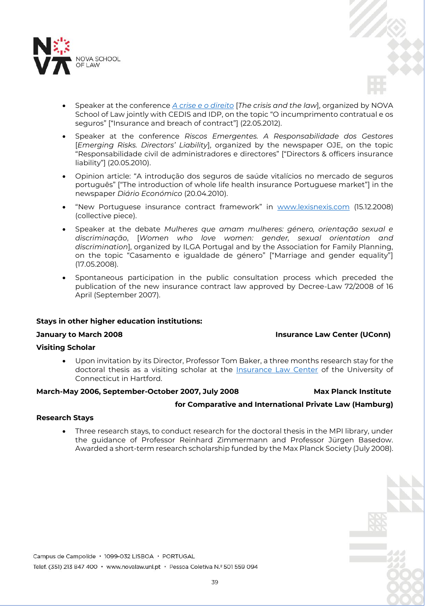

- Speaker at the conference *[A crise e o direito](http://www.youtube.com/watch?v=atNP2RQ7Ir0)* [*The crisis and the law*], organized by NOVA School of Law jointly with CEDIS and IDP, on the topic "O incumprimento contratual e os seguros" ["Insurance and breach of contract"] (22.05.2012).
- Speaker at the conference *Riscos Emergentes. A Responsabilidade dos Gestores* [*Emerging Risks. Directors' Liability*], organized by the newspaper OJE, on the topic "Responsabilidade civil de administradores e directores" ["Directors & officers insurance liability"] (20.05.2010).
- Opinion article: "A introdução dos seguros de saúde vitalícios no mercado de seguros português" ["The introduction of whole life health insurance Portuguese market"] in the newspaper *Diário Económico* (20.04.2010).
- "New Portuguese insurance contract framework" in [www.lexisnexis.com](http://www.lexisnexis.com/) (15.12.2008) (collective piece).
- Speaker at the debate *Mulheres que amam mulheres: género, orientação sexual e discriminação*, [*Women who love women: gender, sexual orientation and discrimination*], organized by ILGA Portugal and by the Association for Family Planning, on the topic "Casamento e igualdade de género" ["Marriage and gender equality"] (17.05.2008).
- Spontaneous participation in the public consultation process which preceded the publication of the new insurance contract law approved by Decree-Law 72/2008 of 16 April (September 2007).

# **Stays in other higher education institutions:**

# **January to March 2008 Insurance Law Center (UConn)**

**for Comparative and International Private Law (Hamburg)**

# **Visiting Scholar**

 Upon invitation by its Director, Professor Tom Baker, a three months research stay for the doctoral thesis as a visiting scholar at the [Insurance Law Center](http://www.insurancelawcenter.org/) of the University of Connecticut in Hartford.

# **March-May 2006, September-October 2007, July 2008 Max Planck Institute**

# **Research Stays**

 Three research stays, to conduct research for the doctoral thesis in the MPI library, under the guidance of Professor Reinhard Zimmermann and Professor Jürgen Basedow. Awarded a short-term research scholarship funded by the Max Planck Society (July 2008).